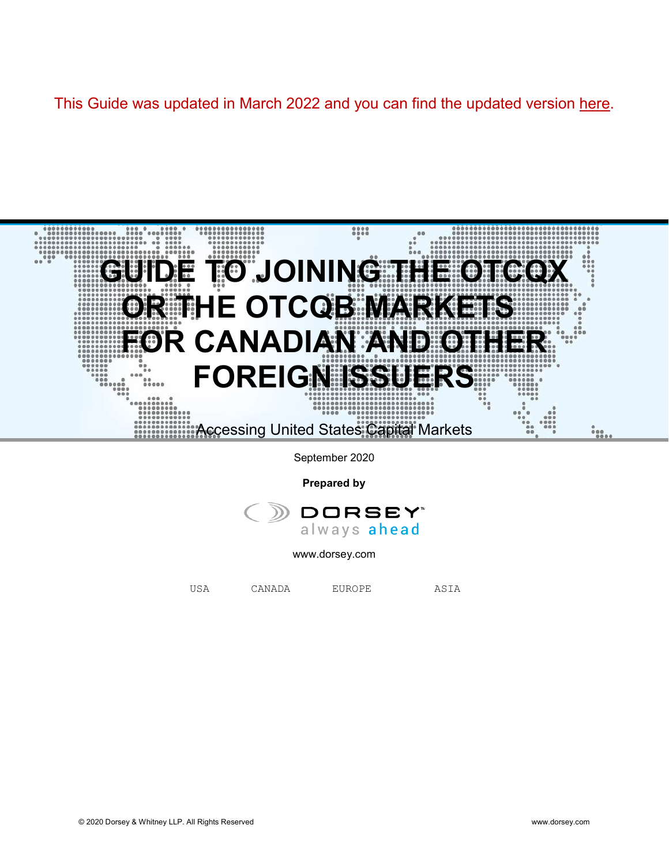# This Guide was updated in March 2022 and you can find the updated version [here.](https://www.dorsey.com/%7E/media/files/canada/dorseycanadianissuerguideotcqxotcqb.pdf)



**Prepared by**



[www.dorsey.com](http://www.dorsey.com/)

USA CANADA EUROPE ASIA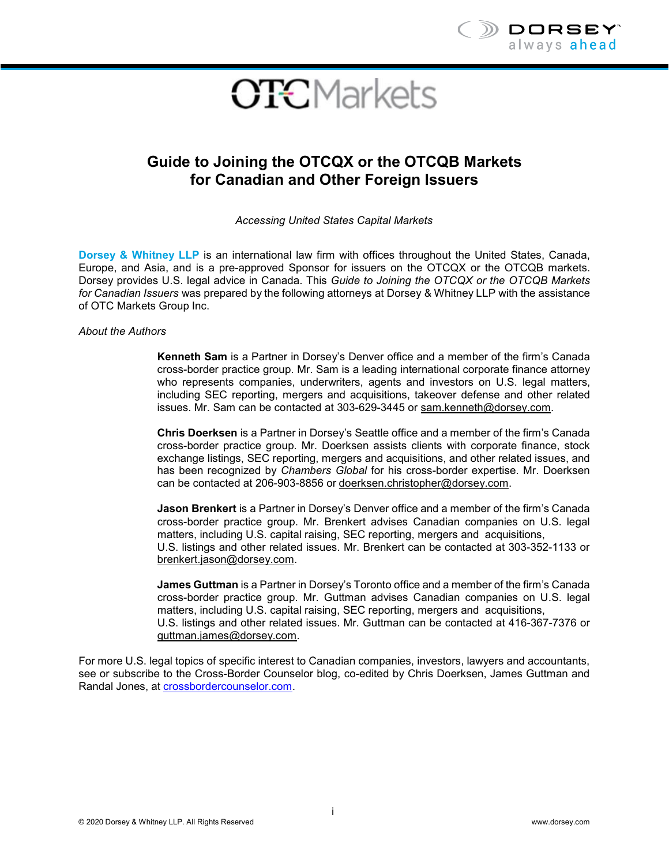

# **OTC**Markets

# **Guide to Joining the OTCQX or the OTCQB Markets for Canadian and Other Foreign Issuers**

*Accessing United States Capital Markets*

**Dorsey & Whitney LLP** is an international law firm with offices throughout the United States, Canada, Europe, and Asia, and is a pre-approved Sponsor for issuers on the OTCQX or the OTCQB markets. Dorsey provides U.S. legal advice in Canada. This *Guide to Joining the OTCQX or the OTCQB Markets for Canadian Issuers* was prepared by the following attorneys at Dorsey & Whitney LLP with the assistance of OTC Markets Group Inc.

*About the Authors*

**Kenneth Sam** is a Partner in Dorsey's Denver office and a member of the firm's Canada cross-border practice group. Mr. Sam is a leading international corporate finance attorney who represents companies, underwriters, agents and investors on U.S. legal matters, including SEC reporting, mergers and acquisitions, takeover defense and other related issues. Mr. Sam can be contacted at 303-629-3445 or [sam.kenneth@dorsey.com.](mailto:sam.kenneth@dorsey.com)

**Chris Doerksen** is a Partner in Dorsey's Seattle office and a member of the firm's Canada cross-border practice group. Mr. Doerksen assists clients with corporate finance, stock exchange listings, SEC reporting, mergers and acquisitions, and other related issues, and has been recognized by *Chambers Global* for his cross-border expertise. Mr. Doerksen can be contacted at 206-903-8856 or [doerksen.christopher@dorsey.com.](mailto:doerksen.christopher@dorsey.com)

**Jason Brenkert** is a Partner in Dorsey's Denver office and a member of the firm's Canada cross-border practice group. Mr. Brenkert advises Canadian companies on U.S. legal matters, including U.S. capital raising, SEC reporting, mergers and acquisitions, U.S. listings and other related issues. Mr. Brenkert can be contacted at 303-352-1133 or [brenkert.jason@dorsey.com.](mailto:brenkert.jason@dorsey.com)

**James Guttman** is a Partner in Dorsey's Toronto office and a member of the firm's Canada cross-border practice group. Mr. Guttman advises Canadian companies on U.S. legal matters, including U.S. capital raising, SEC reporting, mergers and acquisitions, U.S. listings and other related issues. Mr. Guttman can be contacted at 416-367-7376 or [guttman.james@dorsey.com.](mailto:guttman.james@dorsey.com)

For more U.S. legal topics of specific interest to Canadian companies, investors, lawyers and accountants, see or subscribe to the Cross-Border Counselor blog, co-edited by Chris Doerksen, James Guttman and Randal Jones, at [crossbordercounselor.com.](https://crossbordercounselor.com/)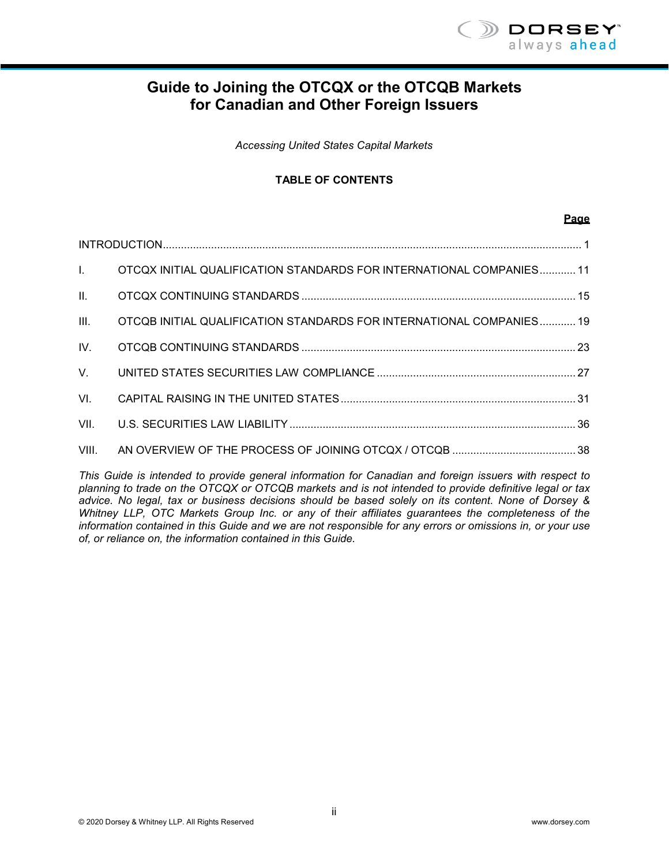

# **Guide to Joining the OTCQX or the OTCQB Markets for Canadian and Other Foreign Issuers**

*Accessing United States Capital Markets*

#### **TABLE OF CONTENTS**

#### **Page**

|       | 1. OTCQX INITIAL QUALIFICATION STANDARDS FOR INTERNATIONAL COMPANIES 11 |  |  |
|-------|-------------------------------------------------------------------------|--|--|
| II.   |                                                                         |  |  |
| III.  | OTCQB INITIAL QUALIFICATION STANDARDS FOR INTERNATIONAL COMPANIES 19    |  |  |
| IV.   |                                                                         |  |  |
| V.    |                                                                         |  |  |
| VI.   |                                                                         |  |  |
| VII.  |                                                                         |  |  |
| VIII. |                                                                         |  |  |

*This Guide is intended to provide general information for Canadian and foreign issuers with respect to planning to trade on the OTCQX or OTCQB markets and is not intended to provide definitive legal or tax advice. No legal, tax or business decisions should be based solely on its content. None of Dorsey & Whitney LLP, OTC Markets Group Inc. or any of their affiliates guarantees the completeness of the information contained in this Guide and we are not responsible for any errors or omissions in, or your use of, or reliance on, the information contained in this Guide.*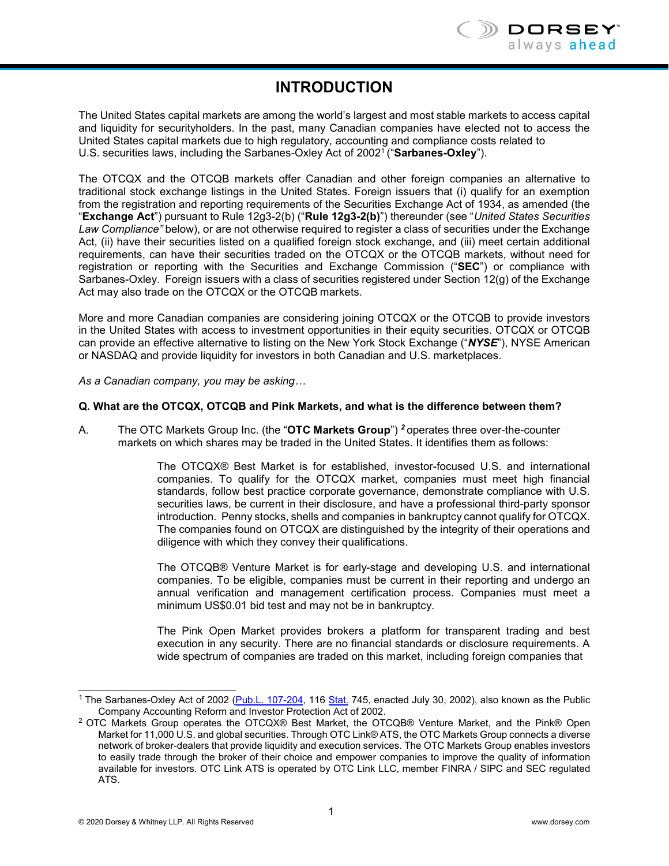# **INTRODUCTION**

<span id="page-3-0"></span>The United States capital markets are among the world's largest and most stable markets to access capital and liquidity for securityholders. In the past, many Canadian companies have elected not to access the United States capital markets due to high regulatory, accounting and compliance costs related to U.S. securities laws, including the Sarbanes-Oxley Act of 200[21](#page-3-1) ("**Sarbanes-Oxley**").

The OTCQX and the OTCQB markets offer Canadian and other foreign companies an alternative to traditional stock exchange listings in the United States. Foreign issuers that (i) qualify for an exemption from the registration and reporting requirements of the Securities Exchange Act of 1934, as amended (the "**Exchange Act**") pursuant to Rule 12g3-2(b) ("**Rule 12g3-2(b)**") thereunder (see "*United States Securities Law Compliance"* below), or are not otherwise required to register a class of securities under the Exchange Act, (ii) have their securities listed on a qualified foreign stock exchange, and (iii) meet certain additional requirements, can have their securities traded on the OTCQX or the OTCQB markets, without need for registration or reporting with the Securities and Exchange Commission ("**SEC**") or compliance with Sarbanes-Oxley. Foreign issuers with a class of securities registered under Section 12(g) of the Exchange Act may also trade on the OTCQX or the OTCQB markets.

More and more Canadian companies are considering joining OTCQX or the OTCQB to provide investors in the United States with access to investment opportunities in their equity securities. OTCQX or OTCQB can provide an effective alternative to listing on the New York Stock Exchange ("*NYSE*"), NYSE American or NASDAQ and provide liquidity for investors in both Canadian and U.S. marketplaces.

*As a Canadian company, you may be asking…*

#### **Q. What are the OTCQX, OTCQB and Pink Markets, and what is the difference between them?**

A. The OTC Markets Group Inc. (the "**OTC Markets Group**") *[2](#page-3-2)* operates three over-the-counter markets on which shares may be traded in the United States. It identifies them as follows:

> The OTCQX® Best Market is for established, investor-focused U.S. and international companies. To qualify for the OTCQX market, companies must meet high financial standards, follow best practice corporate governance, demonstrate compliance with U.S. securities laws, be current in their disclosure, and have a professional third-party sponsor introduction. Penny stocks, shells and companies in bankruptcy cannot qualify for OTCQX. The companies found on OTCQX are distinguished by the integrity of their operations and diligence with which they convey their qualifications.

> The OTCQB® Venture Market is for early-stage and developing U.S. and international companies. To be eligible, companies must be current in their reporting and undergo an annual verification and management certification process. Companies must meet a minimum US\$0.01 bid test and may not be in bankruptcy.

> The Pink Open Market provides brokers a platform for transparent trading and best execution in any security. There are no financial standards or disclosure requirements. A wide spectrum of companies are traded on this market, including foreign companies that

<span id="page-3-1"></span><sup>&</sup>lt;sup>1</sup> The Sarbanes-Oxley Act of 2002 (Pub.L. 107-204, 116 Stat. 745, enacted July 30, 2002), also known as the Public Company Accounting Reform and Investor Protection Act of 2002.

<span id="page-3-2"></span><sup>2</sup> OTC Markets Group operates the OTCQX® Best Market, the OTCQB® Venture Market, and the Pink® Open Market for 11,000 U.S. and global securities. Through OTC Link® ATS, the OTC Markets Group connects a diverse network of broker-dealers that provide liquidity and execution services. The OTC Markets Group enables investors to easily trade through the broker of their choice and empower companies to improve the quality of information available for investors. OTC Link ATS is operated by OTC Link LLC, member FINRA / SIPC and SEC regulated ATS.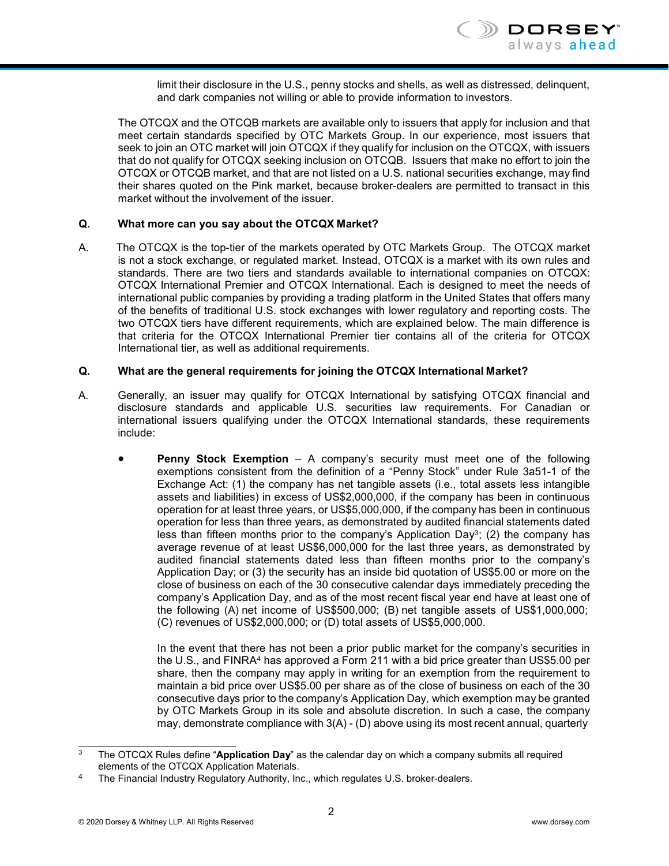limit their disclosure in the U.S., penny stocks and shells, as well as distressed, delinquent, and dark companies not willing or able to provide information to investors.

The OTCQX and the OTCQB markets are available only to issuers that apply for inclusion and that meet certain standards specified by OTC Markets Group. In our experience, most issuers that seek to join an OTC market will join OTCQX if they qualify for inclusion on the OTCQX, with issuers that do not qualify for OTCQX seeking inclusion on OTCQB. Issuers that make no effort to join the OTCQX or OTCQB market, and that are not listed on a U.S. national securities exchange, may find their shares quoted on the Pink market, because broker-dealers are permitted to transact in this market without the involvement of the issuer.

#### **Q. What more can you say about the OTCQX Market?**

A. The OTCQX is the top-tier of the markets operated by OTC Markets Group. The OTCQX market is not a stock exchange, or regulated market. Instead, OTCQX is a market with its own rules and standards. There are two tiers and standards available to international companies on OTCQX: OTCQX International Premier and OTCQX International. Each is designed to meet the needs of international public companies by providing a trading platform in the United States that offers many of the benefits of traditional U.S. stock exchanges with lower regulatory and reporting costs. The two OTCQX tiers have different requirements, which are explained below. The main difference is that criteria for the OTCQX International Premier tier contains all of the criteria for OTCQX International tier, as well as additional requirements.

#### **Q. What are the general requirements for joining the OTCQX International Market?**

- A. Generally, an issuer may qualify for OTCQX International by satisfying OTCQX financial and disclosure standards and applicable U.S. securities law requirements. For Canadian or international issuers qualifying under the OTCQX International standards, these requirements include:
	- **Penny Stock Exemption**  A company's security must meet one of the following exemptions consistent from the definition of a "Penny Stock" under Rule 3a51-1 of the Exchange Act: (1) the company has net tangible assets (i.e., total assets less intangible assets and liabilities) in excess of US\$2,000,000, if the company has been in continuous operation for at least three years, or US\$5,000,000, if the company has been in continuous operation for less than three years, as demonstrated by audited financial statements dated less than fifteen months prior to the company's Application Day<sup>3</sup>; (2) the company has average revenue of at least US\$6,000,000 for the last three years, as demonstrated by audited financial statements dated less than fifteen months prior to the company's Application Day; or (3) the security has an inside bid quotation of US\$5.00 or more on the close of business on each of the 30 consecutive calendar days immediately preceding the company's Application Day, and as of the most recent fiscal year end have at least one of the following (A) net income of US\$500,000; (B) net tangible assets of US\$1,000,000; (C) revenues of US\$2,000,000; or (D) total assets of US\$5,000,000.

In the event that there has not been a prior public market for the company's securities in the U.S., and FINRA<sup>4</sup> has approved a Form 211 with a bid price greater than US\$5.00 per share, then the company may apply in writing for an exemption from the requirement to maintain a bid price over US\$5.00 per share as of the close of business on each of the 30 consecutive days prior to the company's Application Day, which exemption may be granted by OTC Markets Group in its sole and absolute discretion. In such a case, the company may, demonstrate compliance with 3(A) - (D) above using its most recent annual, quarterly

<span id="page-4-0"></span><sup>3</sup> The OTCQX Rules define "**Application Day**" as the calendar day on which a company submits all required elements of the OTCQX Application Materials.

<span id="page-4-1"></span>The Financial Industry Regulatory Authority, Inc., which regulates U.S. broker-dealers.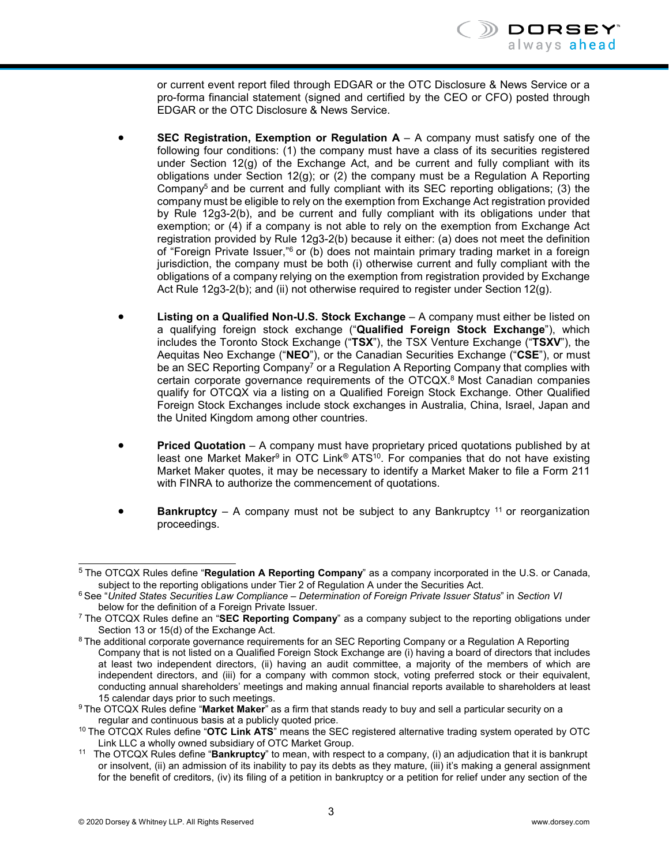or current event report filed through EDGAR or the OTC Disclosure & News Service or a pro-forma financial statement (signed and certified by the CEO or CFO) posted through EDGAR or the OTC Disclosure & News Service.

- **SEC Registration, Exemption or Regulation**  $A A$  **company must satisfy one of the** following four conditions: (1) the company must have a class of its securities registered under Section  $12(q)$  of the Exchange Act, and be current and fully compliant with its obligations under Section 12(g); or (2) the company must be a Regulation A Reporting Company<sup>5</sup> and be current and fully compliant with its SEC reporting obligations; (3) the company must be eligible to rely on the exemption from Exchange Act registration provided by Rule 12g3-2(b), and be current and fully compliant with its obligations under that exemption; or (4) if a company is not able to rely on the exemption from Exchange Act registration provided by Rule 12g3-2(b) because it either: (a) does not meet the definition of "Foreign Private Issuer,"<sup>6</sup> or (b) does not maintain primary trading market in a foreign jurisdiction, the company must be both (i) otherwise current and fully compliant with the obligations of a company relying on the exemption from registration provided by Exchange Act Rule 12g3-2(b); and (ii) not otherwise required to register under Section 12(g).
- **Listing on a Qualified Non-U.S. Stock Exchange** A company must either be listed on a qualifying foreign stock exchange ("**Qualified Foreign Stock Exchange**"), which includes the Toronto Stock Exchange ("**TSX**"), the TSX Venture Exchange ("**TSXV**"), the Aequitas Neo Exchange ("**NEO**"), or the Canadian Securities Exchange ("**CSE**"), or must be an SEC Reporting Company<sup>7</sup> or a Regulation A Reporting Company that complies with certain corporate governance requirements of the OTCQX[.8](#page-5-3) Most Canadian companies qualify for OTCQX via a listing on a Qualified Foreign Stock Exchange. Other Qualified Foreign Stock Exchanges include stock exchanges in Australia, China, Israel, Japan and the United Kingdom among other countries.
- **Priced Quotation**  A company must have proprietary priced quotations published by at least one Market Maker<sup>9</sup> in OTC Link<sup>®</sup> ATS<sup>10</sup>. For companies that do not have existing Market Maker quotes, it may be necessary to identify a Market Maker to file a Form 211 with FINRA to authorize the commencement of quotations.
- <span id="page-5-1"></span>**Bankruptcy** – A company must not be subject to any Bankruptcy <sup>11</sup> or reorganization proceedings.

<span id="page-5-0"></span><sup>5</sup> The OTCQX Rules define "**Regulation A Reporting Company**" as a company incorporated in the U.S. or Canada, subject to the reporting obligations under Tier 2 of Regulation A under the Securities Act.

<sup>6</sup> See "*United States Securities Law Compliance – Determination of Foreign Private Issuer Status*" in *Section VI* below for the definition of a Foreign Private Issuer.

<span id="page-5-2"></span><sup>7</sup> The OTCQX Rules define an "**SEC Reporting Company**" as a company subject to the reporting obligations under Section 13 or 15(d) of the Exchange Act.

<span id="page-5-3"></span><sup>8</sup> The additional corporate governance requirements for an SEC Reporting Company or a Regulation A Reporting Company that is not listed on a Qualified Foreign Stock Exchange are (i) having a board of directors that includes at least two independent directors, (ii) having an audit committee, a majority of the members of which are independent directors, and (iii) for a company with common stock, voting preferred stock or their equivalent, conducting annual shareholders' meetings and making annual financial reports available to shareholders at least 15 calendar days prior to such meetings.

<span id="page-5-4"></span><sup>9</sup> The OTCQX Rules define "**Market Maker**" as a firm that stands ready to buy and sell a particular security on a regular and continuous basis at a publicly quoted price.

<span id="page-5-5"></span><sup>10</sup> The OTCQX Rules define "**OTC Link ATS**" means the SEC registered alternative trading system operated by OTC Link LLC a wholly owned subsidiary of OTC Market Group.

<span id="page-5-6"></span><sup>11</sup> The OTCQX Rules define "**Bankruptcy**" to mean, with respect to a company, (i) an adjudication that it is bankrupt or insolvent, (ii) an admission of its inability to pay its debts as they mature, (iii) it's making a general assignment for the benefit of creditors, (iv) its filing of a petition in bankruptcy or a petition for relief under any section of the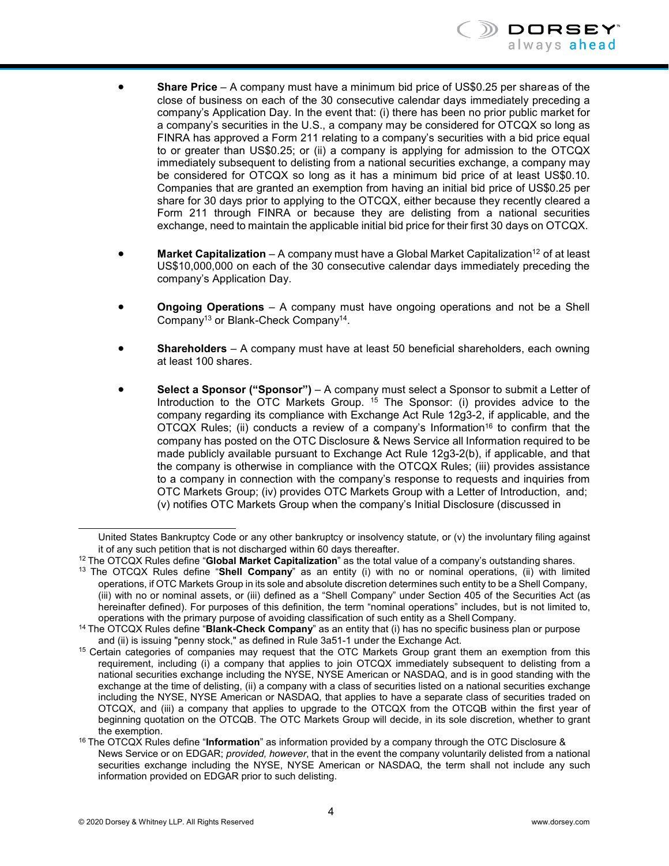

- **Share Price**  A company must have a minimum bid price of US\$0.25 per shareas of the close of business on each of the 30 consecutive calendar days immediately preceding a company's Application Day. In the event that: (i) there has been no prior public market for a company's securities in the U.S., a company may be considered for OTCQX so long as FINRA has approved a Form 211 relating to a company's securities with a bid price equal to or greater than US\$0.25; or (ii) a company is applying for admission to the OTCQX immediately subsequent to delisting from a national securities exchange, a company may be considered for OTCQX so long as it has a minimum bid price of at least US\$0.10. Companies that are granted an exemption from having an initial bid price of US\$0.25 per share for 30 days prior to applying to the OTCQX, either because they recently cleared a Form 211 through FINRA or because they are delisting from a national securities exchange, need to maintain the applicable initial bid price for their first 30 days on OTCQX.
- **Market Capitalization** A company must have a Global Market Capitalization<sup>12</sup> of at least US\$10,000,000 on each of the 30 consecutive calendar days immediately preceding the company's Application Day.
- **Ongoing Operations**  A company must have ongoing operations and not be a Shell Compan[y13](#page-6-1) or Blank-Check Compan[y14.](#page-6-2)
- **Shareholders**  A company must have at least 50 beneficial shareholders, each owning at least 100 shares.
- **Select a Sponsor ("Sponsor")**  A company must select a Sponsor to submit a Letter of Introduction to the OTC Markets Group. [15](#page-6-3) The Sponsor: (i) provides advice to the company regarding its compliance with Exchange Act Rule 12g3-2, if applicable, and the OTCQX Rules; (ii) conducts a review of a company's Information<sup>16</sup> to confirm that the company has posted on the OTC Disclosure & News Service all Information required to be made publicly available pursuant to Exchange Act Rule 12g3-2(b), if applicable, and that the company is otherwise in compliance with the OTCQX Rules; (iii) provides assistance to a company in connection with the company's response to requests and inquiries from OTC Markets Group; (iv) provides OTC Markets Group with a Letter of Introduction, and; (v) notifies OTC Markets Group when the company's Initial Disclosure (discussed in

United States Bankruptcy Code or any other bankruptcy or insolvency statute, or (v) the involuntary filing against it of any such petition that is not discharged within 60 days thereafter.

<span id="page-6-0"></span><sup>12</sup> The OTCQX Rules define "**Global Market Capitalization**" as the total value of a company's outstanding shares.

<span id="page-6-1"></span><sup>13</sup> The OTCQX Rules define "**Shell Company**" as an entity (i) with no or nominal operations, (ii) with limited operations, if OTC Markets Group in its sole and absolute discretion determines such entity to be a Shell Company, (iii) with no or nominal assets, or (iii) defined as a "Shell Company" under Section 405 of the Securities Act (as hereinafter defined). For purposes of this definition, the term "nominal operations" includes, but is not limited to, operations with the primary purpose of avoiding classification of such entity as a Shell Company.

<span id="page-6-2"></span><sup>14</sup> The OTCQX Rules define "**Blank-Check Company**" as an entity that (i) has no specific business plan or purpose and (ii) is issuing "penny stock," as defined in Rule 3a51-1 under the Exchange Act.

<span id="page-6-3"></span><sup>&</sup>lt;sup>15</sup> Certain categories of companies may request that the OTC Markets Group grant them an exemption from this requirement, including (i) a company that applies to join OTCQX immediately subsequent to delisting from a national securities exchange including the NYSE, NYSE American or NASDAQ, and is in good standing with the exchange at the time of delisting, (ii) a company with a class of securities listed on a national securities exchange including the NYSE, NYSE American or NASDAQ, that applies to have a separate class of securities traded on OTCQX, and (iii) a company that applies to upgrade to the OTCQX from the OTCQB within the first year of beginning quotation on the OTCQB. The OTC Markets Group will decide, in its sole discretion, whether to grant the exemption.

<span id="page-6-4"></span><sup>16</sup> The OTCQX Rules define "**Information**" as information provided by a company through the OTC Disclosure & News Service or on EDGAR; *provided, however*, that in the event the company voluntarily delisted from a national securities exchange including the NYSE, NYSE American or NASDAQ, the term shall not include any such information provided on EDGAR prior to such delisting.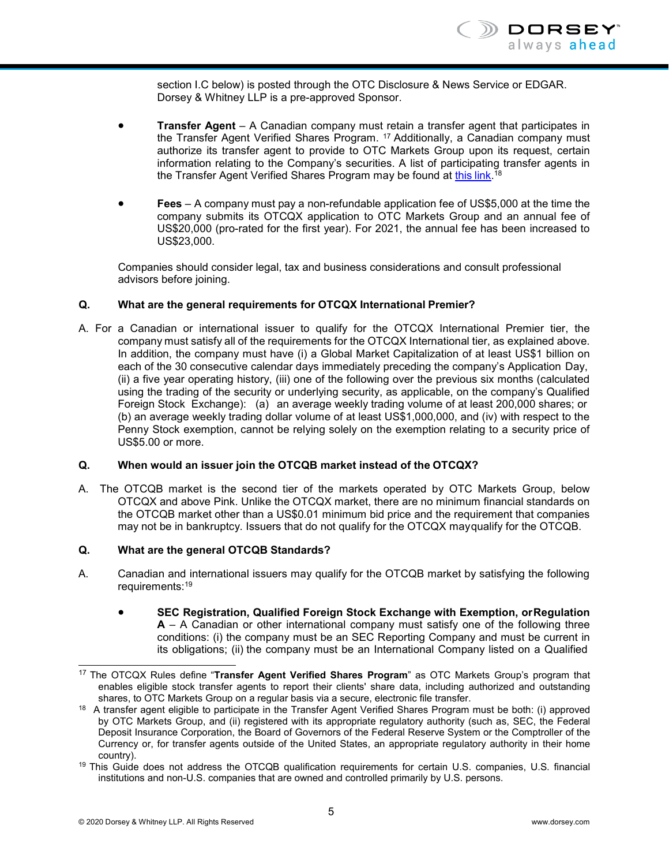section I.C below) is posted through the OTC Disclosure & News Service or EDGAR. Dorsey & Whitney LLP is a pre-approved Sponsor.

- **Transfer Agent**  A Canadian company must retain a transfer agent that participates in the Transfer Agent Verified Shares Program. [17](#page-7-0) Additionally, a Canadian company must authorize its transfer agent to provide to OTC Markets Group upon its request, certain information relating to the Company's securities. A list of participating transfer agents in the Transfer Agent Verified Shares Program may be found at <u>this link</u>.[18](https://www.otcmarkets.com/corporate-services/transfer-agent-verified-shares-program)
- **Fees** A company must pay a non-refundable application fee of US\$5,000 at the time the company submits its OTCQX application to OTC Markets Group and an annual fee of US\$20,000 (pro-rated for the first year). For 2021, the annual fee has been increased to US\$23,000.

Companies should consider legal, tax and business considerations and consult professional advisors before joining.

#### **Q. What are the general requirements for OTCQX International Premier?**

A. For a Canadian or international issuer to qualify for the OTCQX International Premier tier, the company must satisfy all of the requirements for the OTCQX International tier, as explained above. In addition, the company must have (i) a Global Market Capitalization of at least US\$1 billion on each of the 30 consecutive calendar days immediately preceding the company's Application Day, (ii) a five year operating history, (iii) one of the following over the previous six months (calculated using the trading of the security or underlying security, as applicable, on the company's Qualified Foreign Stock Exchange): (a) an average weekly trading volume of at least 200,000 shares; or (b) an average weekly trading dollar volume of at least US\$1,000,000, and (iv) with respect to the Penny Stock exemption, cannot be relying solely on the exemption relating to a security price of US\$5.00 or more.

#### **Q. When would an issuer join the OTCQB market instead of the OTCQX?**

A. The OTCQB market is the second tier of the markets operated by OTC Markets Group, below OTCQX and above Pink. Unlike the OTCQX market, there are no minimum financial standards on the OTCQB market other than a US\$0.01 minimum bid price and the requirement that companies may not be in bankruptcy. Issuers that do not qualify for the OTCQX mayqualify for the OTCQB.

#### **Q. What are the general OTCQB Standards?**

- A. Canadian and international issuers may qualify for the OTCQB market by satisfying the following requirements[:19](#page-7-1)
	- **SEC Registration, Qualified Foreign Stock Exchange with Exemption, orRegulation A** – A Canadian or other international company must satisfy one of the following three conditions: (i) the company must be an SEC Reporting Company and must be current in its obligations; (ii) the company must be an International Company listed on a Qualified

<span id="page-7-0"></span><sup>17</sup> The OTCQX Rules define "**Transfer Agent Verified Shares Program**" as OTC Markets Group's program that enables eligible stock transfer agents to report their clients' share data, including authorized and outstanding shares, to OTC Markets Group on a regular basis via a secure, electronic file transfer.

<sup>&</sup>lt;sup>18</sup> A transfer agent eligible to participate in the Transfer Agent Verified Shares Program must be both: (i) approved by OTC Markets Group, and (ii) registered with its appropriate regulatory authority (such as, SEC, the Federal Deposit Insurance Corporation, the Board of Governors of the Federal Reserve System or the Comptroller of the Currency or, for transfer agents outside of the United States, an appropriate regulatory authority in their home country).

<span id="page-7-1"></span><sup>&</sup>lt;sup>19</sup> This Guide does not address the OTCQB qualification requirements for certain U.S. companies, U.S. financial institutions and non-U.S. companies that are owned and controlled primarily by U.S. persons.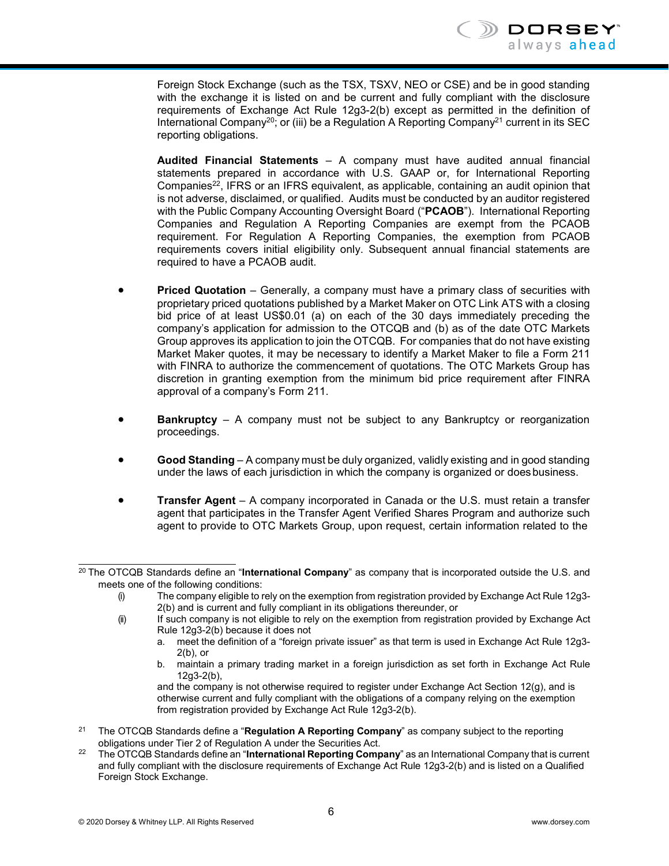Foreign Stock Exchange (such as the TSX, TSXV, NEO or CSE) and be in good standing with the exchange it is listed on and be current and fully compliant with the disclosure requirements of Exchange Act Rule 12g3-2(b) except as permitted in the definition of International Company<sup>20</sup>; or (iii) be a Regulation A Reporting Company<sup>21</sup> current in its SEC reporting obligations.

**Audited Financial Statements** – A company must have audited annual financial statements prepared in accordance with U.S. GAAP or, for International Reporting Companies $22$ , IFRS or an IFRS equivalent, as applicable, containing an audit opinion that is not adverse, disclaimed, or qualified. Audits must be conducted by an auditor registered with the Public Company Accounting Oversight Board ("**PCAOB**"). International Reporting Companies and Regulation A Reporting Companies are exempt from the PCAOB requirement. For Regulation A Reporting Companies, the exemption from PCAOB requirements covers initial eligibility only. Subsequent annual financial statements are required to have a PCAOB audit.

- **Priced Quotation** Generally, a company must have a primary class of securities with proprietary priced quotations published by a Market Maker on OTC Link ATS with a closing bid price of at least US\$0.01 (a) on each of the 30 days immediately preceding the company's application for admission to the OTCQB and (b) as of the date OTC Markets Group approves its application to join the OTCQB. For companies that do not have existing Market Maker quotes, it may be necessary to identify a Market Maker to file a Form 211 with FINRA to authorize the commencement of quotations. The OTC Markets Group has discretion in granting exemption from the minimum bid price requirement after FINRA approval of a company's Form 211.
- **Bankruptcy** A company must not be subject to any Bankruptcy or reorganization proceedings.
- **Good Standing** A company must be duly organized, validly existing and in good standing under the laws of each jurisdiction in which the company is organized or doesbusiness.
- **Transfer Agent**  A company incorporated in Canada or the U.S. must retain a transfer agent that participates in the Transfer Agent Verified Shares Program and authorize such agent to provide to OTC Markets Group, upon request, certain information related to the

b. maintain a primary trading market in a foreign jurisdiction as set forth in Exchange Act Rule 12g3-2(b),

and the company is not otherwise required to register under Exchange Act Section 12(g), and is otherwise current and fully compliant with the obligations of a company relying on the exemption from registration provided by Exchange Act Rule 12g3-2(b).

- <span id="page-8-1"></span><sup>21</sup> The OTCQB Standards define a "**Regulation A Reporting Company**" as company subject to the reporting obligations under Tier 2 of Regulation A under the Securities Act.
- <span id="page-8-2"></span><sup>22</sup> The OTCQB Standards define an "**International Reporting Company**" as an International Company that is current and fully compliant with the disclosure requirements of Exchange Act Rule 12g3-2(b) and is listed on a Qualified Foreign Stock Exchange.

<span id="page-8-0"></span><sup>20</sup> The OTCQB Standards define an "**International Company**" as company that is incorporated outside the U.S. and meets one of the following conditions:

<sup>(</sup>i) The company eligible to rely on the exemption from registration provided by Exchange Act Rule 12g3- 2(b) and is current and fully compliant in its obligations thereunder, or

<sup>(</sup>ii) If such company is not eligible to rely on the exemption from registration provided by Exchange Act Rule 12g3-2(b) because it does not

a. meet the definition of a "foreign private issuer" as that term is used in Exchange Act Rule 12g3-  $2(b)$ , or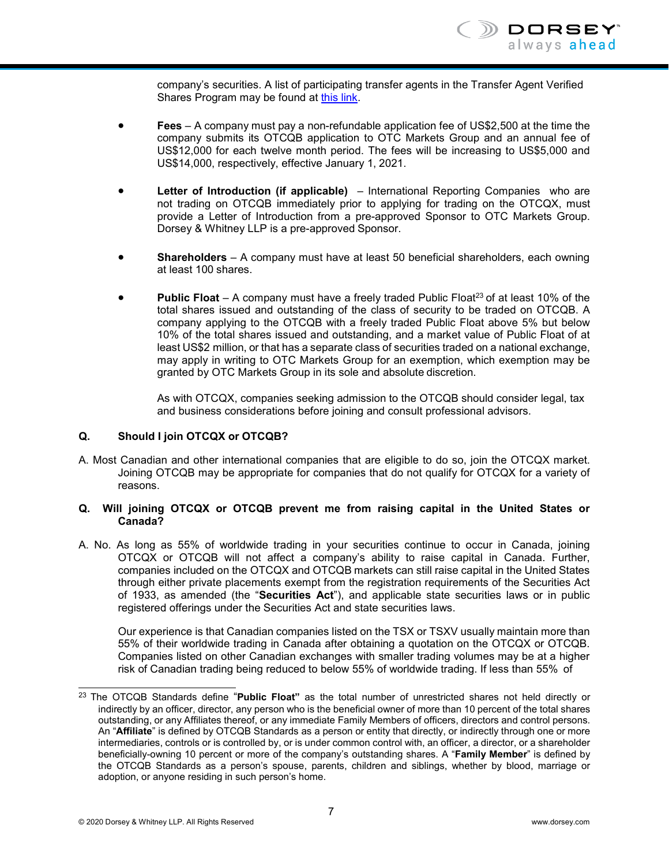company's securities. A list of participating transfer agents in the Transfer Agent Verified Shares Program may be found at [this link.](https://www.otcmarkets.com/corporate-services/transfer-agent-verified-shares-program)

- **Fees** A company must pay a non-refundable application fee of US\$2,500 at the time the company submits its OTCQB application to OTC Markets Group and an annual fee of US\$12,000 for each twelve month period. The fees will be increasing to US\$5,000 and US\$14,000, respectively, effective January 1, 2021.
- **Letter of Introduction (if applicable)** International Reporting Companies who are not trading on OTCQB immediately prior to applying for trading on the OTCQX, must provide a Letter of Introduction from a pre-approved Sponsor to OTC Markets Group. Dorsey & Whitney LLP is a pre-approved Sponsor.
- **Shareholders**  A company must have at least 50 beneficial shareholders, each owning at least 100 shares.
- **Public Float** A company must have a freely traded Public Float<sup>23</sup> of at least 10% of the total shares issued and outstanding of the class of security to be traded on OTCQB. A company applying to the OTCQB with a freely traded Public Float above 5% but below 10% of the total shares issued and outstanding, and a market value of Public Float of at least US\$2 million, or that has a separate class of securities traded on a national exchange, may apply in writing to OTC Markets Group for an exemption, which exemption may be granted by OTC Markets Group in its sole and absolute discretion.

As with OTCQX, companies seeking admission to the OTCQB should consider legal, tax and business considerations before joining and consult professional advisors.

#### **Q. Should I join OTCQX or OTCQB?**

A. Most Canadian and other international companies that are eligible to do so, join the OTCQX market. Joining OTCQB may be appropriate for companies that do not qualify for OTCQX for a variety of reasons.

#### **Q. Will joining OTCQX or OTCQB prevent me from raising capital in the United States or Canada?**

A. No. As long as 55% of worldwide trading in your securities continue to occur in Canada, joining OTCQX or OTCQB will not affect a company's ability to raise capital in Canada. Further, companies included on the OTCQX and OTCQB markets can still raise capital in the United States through either private placements exempt from the registration requirements of the Securities Act of 1933, as amended (the "**Securities Act**"), and applicable state securities laws or in public registered offerings under the Securities Act and state securities laws.

Our experience is that Canadian companies listed on the TSX or TSXV usually maintain more than 55% of their worldwide trading in Canada after obtaining a quotation on the OTCQX or OTCQB. Companies listed on other Canadian exchanges with smaller trading volumes may be at a higher risk of Canadian trading being reduced to below 55% of worldwide trading. If less than 55% of

<span id="page-9-0"></span><sup>23</sup> The OTCQB Standards define "**Public Float"** as the total number of unrestricted shares not held directly or indirectly by an officer, director, any person who is the beneficial owner of more than 10 percent of the total shares outstanding, or any Affiliates thereof, or any immediate Family Members of officers, directors and control persons. An "**Affiliate**" is defined by OTCQB Standards as a person or entity that directly, or indirectly through one or more intermediaries, controls or is controlled by, or is under common control with, an officer, a director, or a shareholder beneficially-owning 10 percent or more of the company's outstanding shares. A "**Family Member**" is defined by the OTCQB Standards as a person's spouse, parents, children and siblings, whether by blood, marriage or adoption, or anyone residing in such person's home.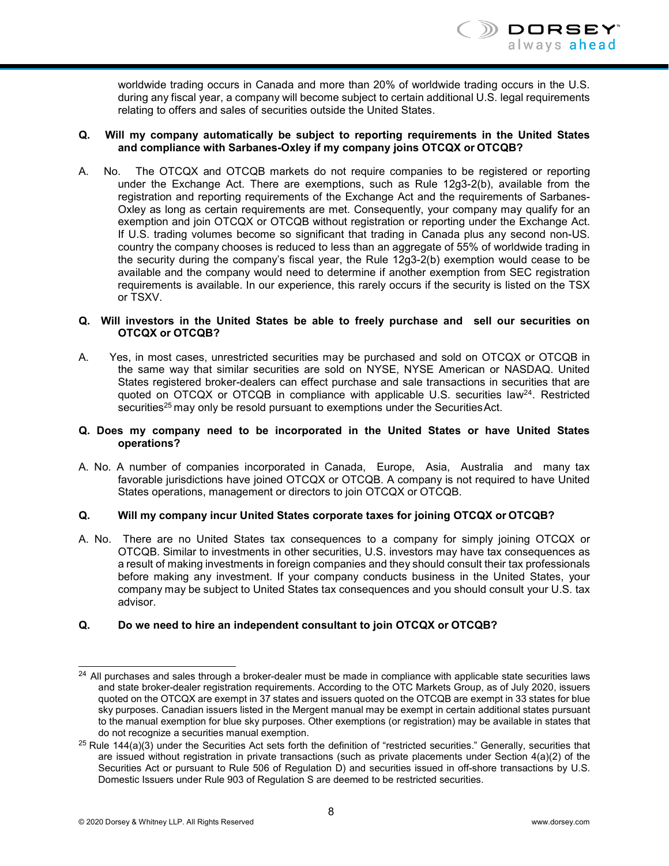worldwide trading occurs in Canada and more than 20% of worldwide trading occurs in the U.S. during any fiscal year, a company will become subject to certain additional U.S. legal requirements relating to offers and sales of securities outside the United States.

#### **Q. Will my company automatically be subject to reporting requirements in the United States and compliance with Sarbanes-Oxley if my company joins OTCQX or OTCQB?**

A. No. The OTCQX and OTCQB markets do not require companies to be registered or reporting under the Exchange Act. There are exemptions, such as Rule 12g3-2(b), available from the registration and reporting requirements of the Exchange Act and the requirements of Sarbanes-Oxley as long as certain requirements are met. Consequently, your company may qualify for an exemption and join OTCQX or OTCQB without registration or reporting under the Exchange Act. If U.S. trading volumes become so significant that trading in Canada plus any second non-US. country the company chooses is reduced to less than an aggregate of 55% of worldwide trading in the security during the company's fiscal year, the Rule 12g3-2(b) exemption would cease to be available and the company would need to determine if another exemption from SEC registration requirements is available. In our experience, this rarely occurs if the security is listed on the TSX or TSXV.

#### **Q. Will investors in the United States be able to freely purchase and sell our securities on OTCQX or OTCQB?**

A. Yes, in most cases, unrestricted securities may be purchased and sold on OTCQX or OTCQB in the same way that similar securities are sold on NYSE, NYSE American or NASDAQ. United States registered broker-dealers can effect purchase and sale transactions in securities that are quoted on  $OTCQX$  or  $OTCQB$  in compliance with applicable U.S. securities law<sup>24</sup>. Restricted securities<sup>25</sup> may only be resold pursuant to exemptions under the Securities Act.

#### **Q. Does my company need to be incorporated in the United States or have United States operations?**

A. No. A number of companies incorporated in Canada, Europe, Asia, Australia and many tax favorable jurisdictions have joined OTCQX or OTCQB. A company is not required to have United States operations, management or directors to join OTCQX or OTCQB.

#### **Q. Will my company incur United States corporate taxes for joining OTCQX or OTCQB?**

A. No. There are no United States tax consequences to a company for simply joining OTCQX or OTCQB. Similar to investments in other securities, U.S. investors may have tax consequences as a result of making investments in foreign companies and they should consult their tax professionals before making any investment. If your company conducts business in the United States, your company may be subject to United States tax consequences and you should consult your U.S. tax advisor.

#### **Q. Do we need to hire an independent consultant to join OTCQX or OTCQB?**

<span id="page-10-0"></span> $24$  All purchases and sales through a broker-dealer must be made in compliance with applicable state securities laws and state broker-dealer registration requirements. According to the OTC Markets Group, as of July 2020, issuers quoted on the OTCQX are exempt in 37 states and issuers quoted on the OTCQB are exempt in 33 states for blue sky purposes. Canadian issuers listed in the Mergent manual may be exempt in certain additional states pursuant to the manual exemption for blue sky purposes. Other exemptions (or registration) may be available in states that do not recognize a securities manual exemption.

<span id="page-10-1"></span> $25$  Rule 144(a)(3) under the Securities Act sets forth the definition of "restricted securities." Generally, securities that are issued without registration in private transactions (such as private placements under Section 4(a)(2) of the Securities Act or pursuant to Rule 506 of Regulation D) and securities issued in off-shore transactions by U.S. Domestic Issuers under Rule 903 of Regulation S are deemed to be restricted securities.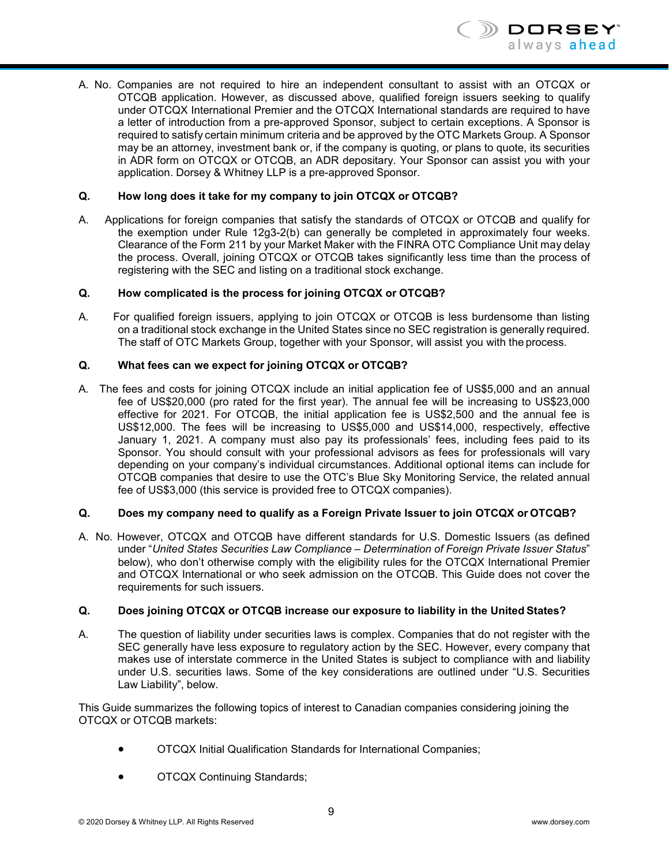

A. No. Companies are not required to hire an independent consultant to assist with an OTCQX or OTCQB application. However, as discussed above, qualified foreign issuers seeking to qualify under OTCQX International Premier and the OTCQX International standards are required to have a letter of introduction from a pre-approved Sponsor, subject to certain exceptions. A Sponsor is required to satisfy certain minimum criteria and be approved by the OTC Markets Group. A Sponsor may be an attorney, investment bank or, if the company is quoting, or plans to quote, its securities in ADR form on OTCQX or OTCQB, an ADR depositary. Your Sponsor can assist you with your application. Dorsey & Whitney LLP is a pre-approved Sponsor.

#### **Q. How long does it take for my company to join OTCQX or OTCQB?**

A. Applications for foreign companies that satisfy the standards of OTCQX or OTCQB and qualify for the exemption under Rule 12g3-2(b) can generally be completed in approximately four weeks. Clearance of the Form 211 by your Market Maker with the FINRA OTC Compliance Unit may delay the process. Overall, joining OTCQX or OTCQB takes significantly less time than the process of registering with the SEC and listing on a traditional stock exchange.

#### **Q. How complicated is the process for joining OTCQX or OTCQB?**

A. For qualified foreign issuers, applying to join OTCQX or OTCQB is less burdensome than listing on a traditional stock exchange in the United States since no SEC registration is generally required. The staff of OTC Markets Group, together with your Sponsor, will assist you with the process.

#### **Q. What fees can we expect for joining OTCQX or OTCQB?**

A. The fees and costs for joining OTCQX include an initial application fee of US\$5,000 and an annual fee of US\$20,000 (pro rated for the first year). The annual fee will be increasing to US\$23,000 effective for 2021. For OTCQB, the initial application fee is US\$2,500 and the annual fee is US\$12,000. The fees will be increasing to US\$5,000 and US\$14,000, respectively, effective January 1, 2021. A company must also pay its professionals' fees, including fees paid to its Sponsor. You should consult with your professional advisors as fees for professionals will vary depending on your company's individual circumstances. Additional optional items can include for OTCQB companies that desire to use the OTC's Blue Sky Monitoring Service, the related annual fee of US\$3,000 (this service is provided free to OTCQX companies).

#### **Q. Does my company need to qualify as a Foreign Private Issuer to join OTCQX or OTCQB?**

A. No. However, OTCQX and OTCQB have different standards for U.S. Domestic Issuers (as defined under "*United States Securities Law Compliance – Determination of Foreign Private Issuer Status*" below), who don't otherwise comply with the eligibility rules for the OTCQX International Premier and OTCQX International or who seek admission on the OTCQB. This Guide does not cover the requirements for such issuers.

#### **Q. Does joining OTCQX or OTCQB increase our exposure to liability in the United States?**

A. The question of liability under securities laws is complex. Companies that do not register with the SEC generally have less exposure to regulatory action by the SEC. However, every company that makes use of interstate commerce in the United States is subject to compliance with and liability under U.S. securities laws. Some of the key considerations are outlined under "U.S. Securities Law Liability", below.

This Guide summarizes the following topics of interest to Canadian companies considering joining the OTCQX or OTCQB markets:

- OTCQX Initial Qualification Standards for International Companies;
- OTCQX Continuing Standards;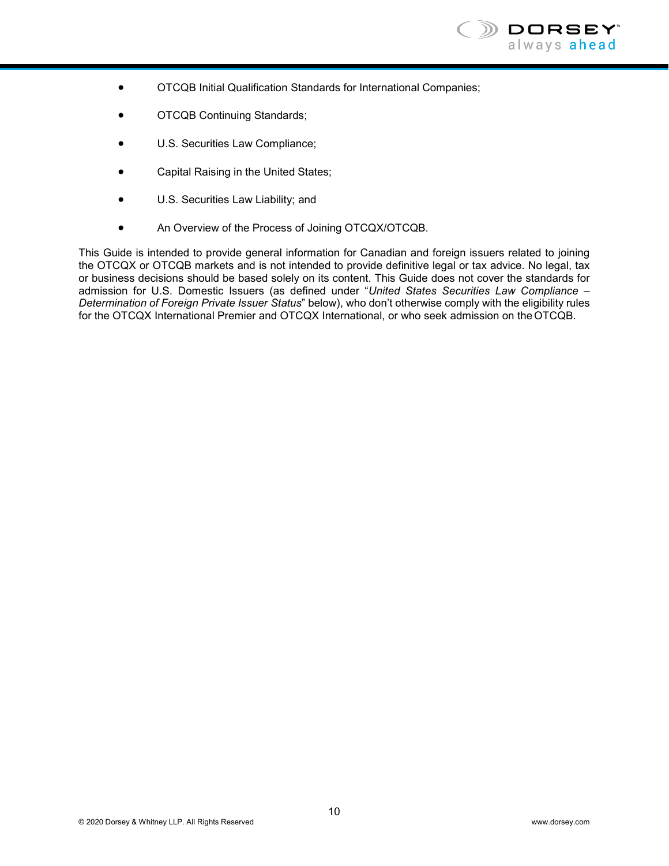

- OTCQB Initial Qualification Standards for International Companies;
- OTCQB Continuing Standards;
- U.S. Securities Law Compliance;
- Capital Raising in the United States;
- U.S. Securities Law Liability; and
- An Overview of the Process of Joining OTCQX/OTCQB.

This Guide is intended to provide general information for Canadian and foreign issuers related to joining the OTCQX or OTCQB markets and is not intended to provide definitive legal or tax advice. No legal, tax or business decisions should be based solely on its content. This Guide does not cover the standards for admission for U.S. Domestic Issuers (as defined under "*United States Securities Law Compliance – Determination of Foreign Private Issuer Status*" below), who don't otherwise comply with the eligibility rules for the OTCQX International Premier and OTCQX International, or who seek admission on the OTCQB.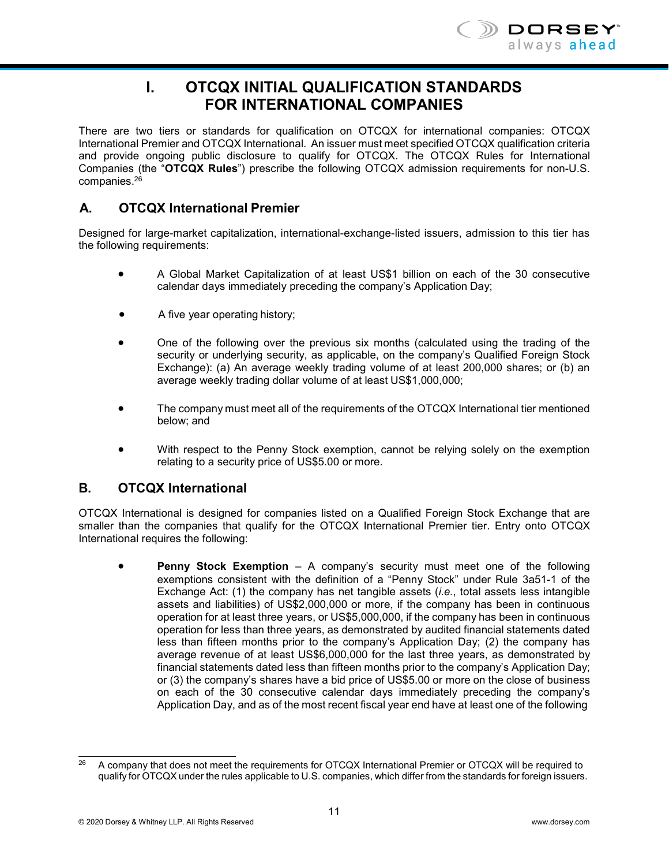

# **I. OTCQX INITIAL QUALIFICATION STANDARDS FOR INTERNATIONAL COMPANIES**

<span id="page-13-0"></span>There are two tiers or standards for qualification on OTCQX for international companies: OTCQX International Premier and OTCQX International. An issuer must meet specified OTCQX qualification criteria and provide ongoing public disclosure to qualify for OTCQX. The OTCQX Rules for International Companies (the "**OTCQX Rules**") prescribe the following OTCQX admission requirements for non-U.S. companies[.26](#page-13-1)

# **A. OTCQX International Premier**

Designed for large-market capitalization, international-exchange-listed issuers, admission to this tier has the following requirements:

- A Global Market Capitalization of at least US\$1 billion on each of the 30 consecutive calendar days immediately preceding the company's Application Day;
- A five year operating history;
- One of the following over the previous six months (calculated using the trading of the security or underlying security, as applicable, on the company's Qualified Foreign Stock Exchange): (a) An average weekly trading volume of at least 200,000 shares; or (b) an average weekly trading dollar volume of at least US\$1,000,000;
- The company must meet all of the requirements of the OTCQX International tier mentioned below; and
- With respect to the Penny Stock exemption, cannot be relying solely on the exemption relating to a security price of US\$5.00 or more.

#### **B. OTCQX International**

OTCQX International is designed for companies listed on a Qualified Foreign Stock Exchange that are smaller than the companies that qualify for the OTCQX International Premier tier. Entry onto OTCQX International requires the following:

• **Penny Stock Exemption** – A company's security must meet one of the following exemptions consistent with the definition of a "Penny Stock" under Rule 3a51-1 of the Exchange Act: (1) the company has net tangible assets (*i.e.*, total assets less intangible assets and liabilities) of US\$2,000,000 or more, if the company has been in continuous operation for at least three years, or US\$5,000,000, if the company has been in continuous operation for less than three years, as demonstrated by audited financial statements dated less than fifteen months prior to the company's Application Day; (2) the company has average revenue of at least US\$6,000,000 for the last three years, as demonstrated by financial statements dated less than fifteen months prior to the company's Application Day; or (3) the company's shares have a bid price of US\$5.00 or more on the close of business on each of the 30 consecutive calendar days immediately preceding the company's Application Day, and as of the most recent fiscal year end have at least one of the following

<span id="page-13-1"></span><sup>&</sup>lt;sup>26</sup> A company that does not meet the requirements for OTCQX International Premier or OTCQX will be required to qualify for OTCQX under the rules applicable to U.S. companies, which differ from the standards for foreign issuers.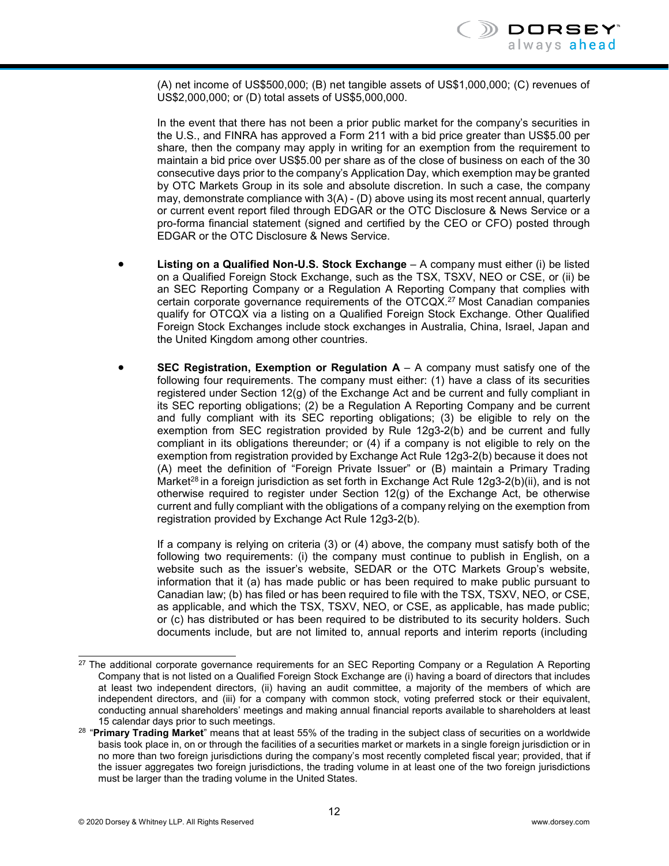(A) net income of US\$500,000; (B) net tangible assets of US\$1,000,000; (C) revenues of US\$2,000,000; or (D) total assets of US\$5,000,000.

In the event that there has not been a prior public market for the company's securities in the U.S., and FINRA has approved a Form 211 with a bid price greater than US\$5.00 per share, then the company may apply in writing for an exemption from the requirement to maintain a bid price over US\$5.00 per share as of the close of business on each of the 30 consecutive days prior to the company's Application Day, which exemption may be granted by OTC Markets Group in its sole and absolute discretion. In such a case, the company may, demonstrate compliance with 3(A) - (D) above using its most recent annual, quarterly or current event report filed through EDGAR or the OTC Disclosure & News Service or a pro-forma financial statement (signed and certified by the CEO or CFO) posted through EDGAR or the OTC Disclosure & News Service.

- **Listing on a Qualified Non-U.S. Stock Exchange**  A company must either (i) be listed on a Qualified Foreign Stock Exchange, such as the TSX, TSXV, NEO or CSE, or (ii) be an SEC Reporting Company or a Regulation A Reporting Company that complies with certain corporate governance requirements of the OTCQ[X.27](#page-14-0) Most Canadian companies qualify for OTCQX via a listing on a Qualified Foreign Stock Exchange. Other Qualified Foreign Stock Exchanges include stock exchanges in Australia, China, Israel, Japan and the United Kingdom among other countries.
- **SEC Registration, Exemption or Regulation**  $A A$  **company must satisfy one of the** following four requirements. The company must either: (1) have a class of its securities registered under Section 12(g) of the Exchange Act and be current and fully compliant in its SEC reporting obligations; (2) be a Regulation A Reporting Company and be current and fully compliant with its SEC reporting obligations; (3) be eligible to rely on the exemption from SEC registration provided by Rule 12g3-2(b) and be current and fully compliant in its obligations thereunder; or (4) if a company is not eligible to rely on the exemption from registration provided by Exchange Act Rule 12g3-2(b) because it does not (A) meet the definition of "Foreign Private Issuer" or (B) maintain a Primary Trading Market<sup>28</sup> in a foreign jurisdiction as set forth in Exchange Act Rule  $12g3-2(b)(ii)$ , and is not otherwise required to register under Section 12(g) of the Exchange Act, be otherwise current and fully compliant with the obligations of a company relying on the exemption from registration provided by Exchange Act Rule 12g3-2(b).

If a company is relying on criteria (3) or (4) above, the company must satisfy both of the following two requirements: (i) the company must continue to publish in English, on a website such as the issuer's website, SEDAR or the OTC Markets Group's website, information that it (a) has made public or has been required to make public pursuant to Canadian law; (b) has filed or has been required to file with the TSX, TSXV, NEO, or CSE, as applicable, and which the TSX, TSXV, NEO, or CSE, as applicable, has made public; or (c) has distributed or has been required to be distributed to its security holders. Such documents include, but are not limited to, annual reports and interim reports (including

<span id="page-14-0"></span><sup>&</sup>lt;sup>27</sup> The additional corporate governance requirements for an SEC Reporting Company or a Regulation A Reporting Company that is not listed on a Qualified Foreign Stock Exchange are (i) having a board of directors that includes at least two independent directors, (ii) having an audit committee, a majority of the members of which are independent directors, and (iii) for a company with common stock, voting preferred stock or their equivalent, conducting annual shareholders' meetings and making annual financial reports available to shareholders at least 15 calendar days prior to such meetings.

<span id="page-14-1"></span><sup>28</sup> "**Primary Trading Market**" means that at least 55% of the trading in the subject class of securities on a worldwide basis took place in, on or through the facilities of a securities market or markets in a single foreign jurisdiction or in no more than two foreign jurisdictions during the company's most recently completed fiscal year; provided, that if the issuer aggregates two foreign jurisdictions, the trading volume in at least one of the two foreign jurisdictions must be larger than the trading volume in the United States.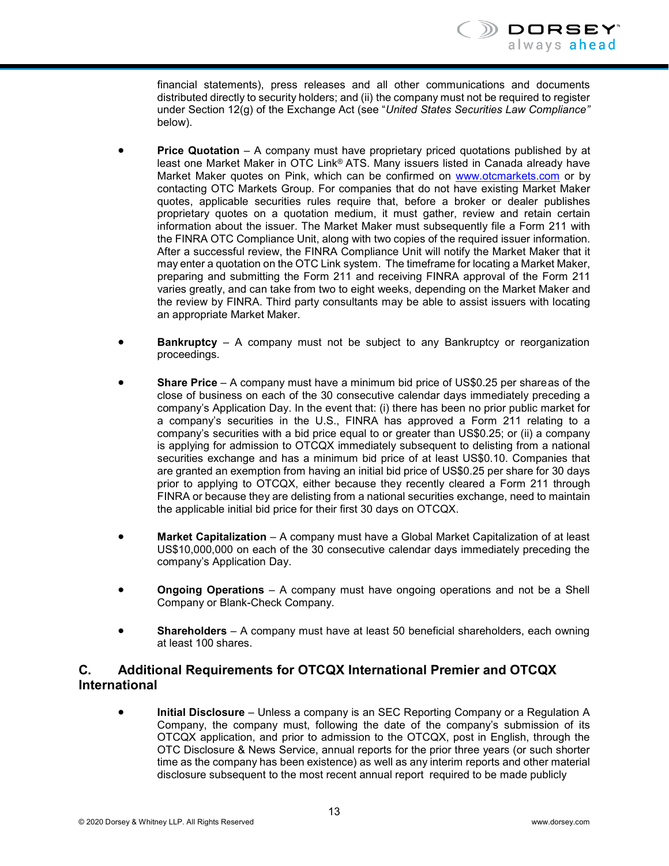financial statements), press releases and all other communications and documents distributed directly to security holders; and (ii) the company must not be required to register under Section 12(g) of the Exchange Act (see "*United States Securities Law Compliance"*  below).

- **Price Quotation** A company must have proprietary priced quotations published by at least one Market Maker in OTC Link® ATS. Many issuers listed in Canada already have Market Maker quotes on Pink, which can be confirmed on [www.otcmarkets.com](http://www.otcmarkets.com/) or by contacting OTC Markets Group. For companies that do not have existing Market Maker quotes, applicable securities rules require that, before a broker or dealer publishes proprietary quotes on a quotation medium, it must gather, review and retain certain information about the issuer. The Market Maker must subsequently file a Form 211 with the FINRA OTC Compliance Unit, along with two copies of the required issuer information. After a successful review, the FINRA Compliance Unit will notify the Market Maker that it may enter a quotation on the OTC Link system. The timeframe for locating a Market Maker, preparing and submitting the Form 211 and receiving FINRA approval of the Form 211 varies greatly, and can take from two to eight weeks, depending on the Market Maker and the review by FINRA. Third party consultants may be able to assist issuers with locating an appropriate Market Maker.
- **Bankruptcy** A company must not be subject to any Bankruptcy or reorganization proceedings.
- **Share Price**  A company must have a minimum bid price of US\$0.25 per shareas of the close of business on each of the 30 consecutive calendar days immediately preceding a company's Application Day. In the event that: (i) there has been no prior public market for a company's securities in the U.S., FINRA has approved a Form 211 relating to a company's securities with a bid price equal to or greater than US\$0.25; or (ii) a company is applying for admission to OTCQX immediately subsequent to delisting from a national securities exchange and has a minimum bid price of at least US\$0.10. Companies that are granted an exemption from having an initial bid price of US\$0.25 per share for 30 days prior to applying to OTCQX, either because they recently cleared a Form 211 through FINRA or because they are delisting from a national securities exchange, need to maintain the applicable initial bid price for their first 30 days on OTCQX.
- **Market Capitalization**  A company must have a Global Market Capitalization of at least US\$10,000,000 on each of the 30 consecutive calendar days immediately preceding the company's Application Day.
- **Ongoing Operations**  A company must have ongoing operations and not be a Shell Company or Blank-Check Company.
- **Shareholders**  A company must have at least 50 beneficial shareholders, each owning at least 100 shares.

# **C. Additional Requirements for OTCQX International Premier and OTCQX International**

**• Initial Disclosure** – Unless a company is an SEC Reporting Company or a Regulation A Company, the company must, following the date of the company's submission of its OTCQX application, and prior to admission to the OTCQX, post in English, through the OTC Disclosure & News Service, annual reports for the prior three years (or such shorter time as the company has been existence) as well as any interim reports and other material disclosure subsequent to the most recent annual report required to be made publicly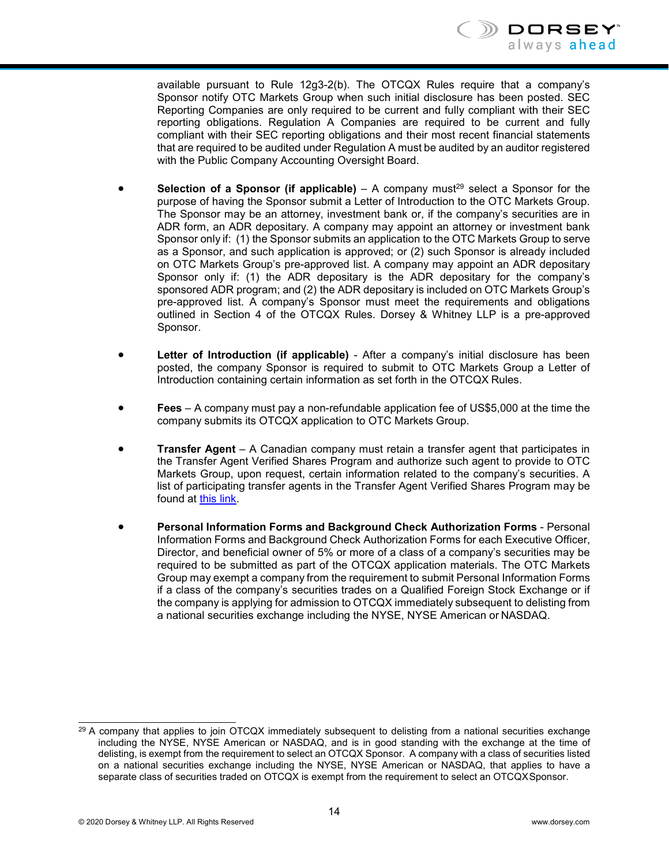

available pursuant to Rule 12g3-2(b). The OTCQX Rules require that a company's Sponsor notify OTC Markets Group when such initial disclosure has been posted. SEC Reporting Companies are only required to be current and fully compliant with their SEC reporting obligations. Regulation A Companies are required to be current and fully compliant with their SEC reporting obligations and their most recent financial statements that are required to be audited under Regulation A must be audited by an auditor registered with the Public Company Accounting Oversight Board.

- **Selection of a Sponsor (if applicable)** A company must<sup>29</sup> select a Sponsor for the purpose of having the Sponsor submit a Letter of Introduction to the OTC Markets Group. The Sponsor may be an attorney, investment bank or, if the company's securities are in ADR form, an ADR depositary. A company may appoint an attorney or investment bank Sponsor only if: (1) the Sponsor submits an application to the OTC Markets Group to serve as a Sponsor, and such application is approved; or (2) such Sponsor is already included on OTC Markets Group's pre-approved list. A company may appoint an ADR depositary Sponsor only if: (1) the ADR depositary is the ADR depositary for the company's sponsored ADR program; and (2) the ADR depositary is included on OTC Markets Group's pre-approved list. A company's Sponsor must meet the requirements and obligations outlined in Section 4 of the OTCQX Rules. Dorsey & Whitney LLP is a pre-approved Sponsor.
- **Letter of Introduction (if applicable)**  After a company's initial disclosure has been posted, the company Sponsor is required to submit to OTC Markets Group a Letter of Introduction containing certain information as set forth in the OTCQX Rules.
- **Fees** A company must pay a non-refundable application fee of US\$5,000 at the time the company submits its OTCQX application to OTC Markets Group.
- **Transfer Agent** A Canadian company must retain a transfer agent that participates in the Transfer Agent Verified Shares Program and authorize such agent to provide to OTC Markets Group, upon request, certain information related to the company's securities. A list of participating transfer agents in the Transfer Agent Verified Shares Program may be found at this [link.](https://www.otcmarkets.com/corporate-services/transfer-agent-verified-shares-program)
- **Personal Information Forms and Background Check Authorization Forms** Personal Information Forms and Background Check Authorization Forms for each Executive Officer, Director, and beneficial owner of 5% or more of a class of a company's securities may be required to be submitted as part of the OTCQX application materials. The OTC Markets Group may exempt a company from the requirement to submit Personal Information Forms if a class of the company's securities trades on a Qualified Foreign Stock Exchange or if the company is applying for admission to OTCQX immediately subsequent to delisting from a national securities exchange including the NYSE, NYSE American or NASDAQ.

<span id="page-16-0"></span><sup>&</sup>lt;sup>29</sup> A company that applies to join OTCQX immediately subsequent to delisting from a national securities exchange including the NYSE, NYSE American or NASDAQ, and is in good standing with the exchange at the time of delisting, is exempt from the requirement to select an OTCQX Sponsor. A company with a class of securities listed on a national securities exchange including the NYSE, NYSE American or NASDAQ, that applies to have a separate class of securities traded on OTCQX is exempt from the requirement to select an OTCQXSponsor.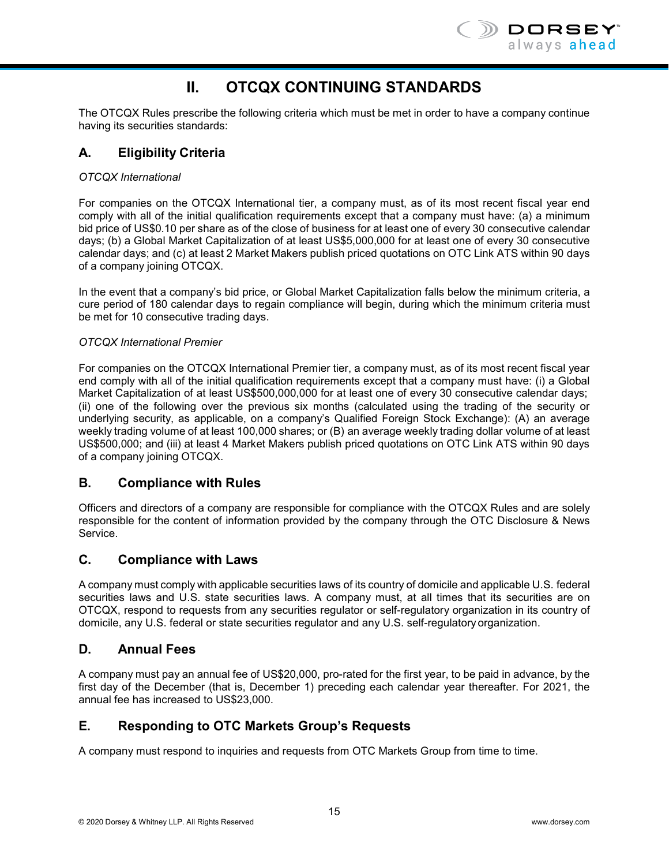

# **II. OTCQX CONTINUING STANDARDS**

<span id="page-17-0"></span>The OTCQX Rules prescribe the following criteria which must be met in order to have a company continue having its securities standards:

# **A. Eligibility Criteria**

#### *OTCQX International*

For companies on the OTCQX International tier, a company must, as of its most recent fiscal year end comply with all of the initial qualification requirements except that a company must have: (a) a minimum bid price of US\$0.10 per share as of the close of business for at least one of every 30 consecutive calendar days; (b) a Global Market Capitalization of at least US\$5,000,000 for at least one of every 30 consecutive calendar days; and (c) at least 2 Market Makers publish priced quotations on OTC Link ATS within 90 days of a company joining OTCQX.

In the event that a company's bid price, or Global Market Capitalization falls below the minimum criteria, a cure period of 180 calendar days to regain compliance will begin, during which the minimum criteria must be met for 10 consecutive trading days.

#### *OTCQX International Premier*

For companies on the OTCQX International Premier tier, a company must, as of its most recent fiscal year end comply with all of the initial qualification requirements except that a company must have: (i) a Global Market Capitalization of at least US\$500,000,000 for at least one of every 30 consecutive calendar days; (ii) one of the following over the previous six months (calculated using the trading of the security or underlying security, as applicable, on a company's Qualified Foreign Stock Exchange): (A) an average weekly trading volume of at least 100,000 shares; or (B) an average weekly trading dollar volume of at least US\$500,000; and (iii) at least 4 Market Makers publish priced quotations on OTC Link ATS within 90 days of a company joining OTCQX.

#### **B. Compliance with Rules**

Officers and directors of a company are responsible for compliance with the OTCQX Rules and are solely responsible for the content of information provided by the company through the OTC Disclosure & News Service.

#### **C. Compliance with Laws**

A company must comply with applicable securities laws of its country of domicile and applicable U.S. federal securities laws and U.S. state securities laws. A company must, at all times that its securities are on OTCQX, respond to requests from any securities regulator or self-regulatory organization in its country of domicile, any U.S. federal or state securities regulator and any U.S. self-regulatory organization.

#### **D. Annual Fees**

A company must pay an annual fee of US\$20,000, pro-rated for the first year, to be paid in advance, by the first day of the December (that is, December 1) preceding each calendar year thereafter. For 2021, the annual fee has increased to US\$23,000.

#### **E. Responding to OTC Markets Group's Requests**

A company must respond to inquiries and requests from OTC Markets Group from time to time.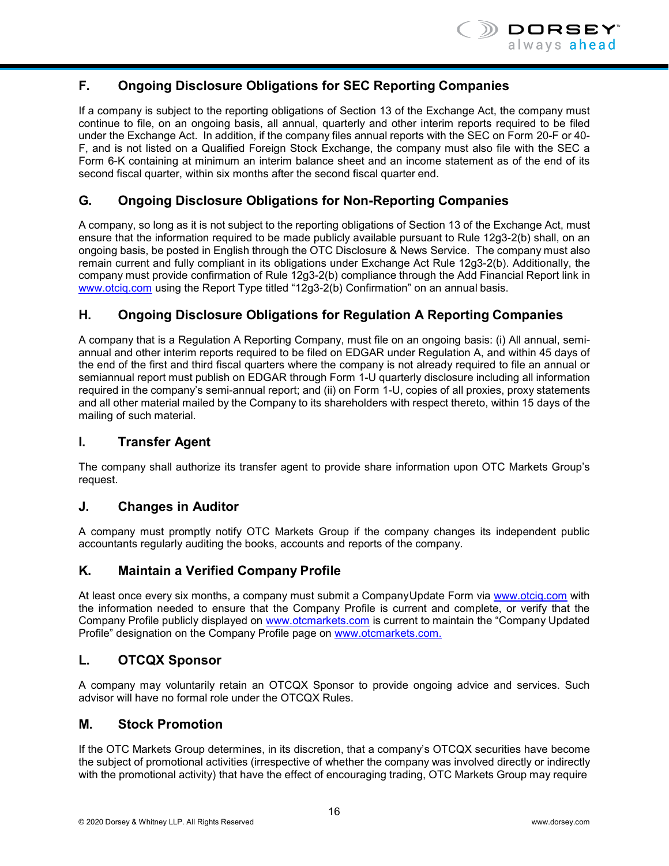

# **F. Ongoing Disclosure Obligations for SEC Reporting Companies**

If a company is subject to the reporting obligations of Section 13 of the Exchange Act, the company must continue to file, on an ongoing basis, all annual, quarterly and other interim reports required to be filed under the Exchange Act. In addition, if the company files annual reports with the SEC on Form 20-F or 40- F, and is not listed on a Qualified Foreign Stock Exchange, the company must also file with the SEC a Form 6-K containing at minimum an interim balance sheet and an income statement as of the end of its second fiscal quarter, within six months after the second fiscal quarter end.

## **G. Ongoing Disclosure Obligations for Non-Reporting Companies**

A company, so long as it is not subject to the reporting obligations of Section 13 of the Exchange Act, must ensure that the information required to be made publicly available pursuant to Rule 12g3-2(b) shall, on an ongoing basis, be posted in English through the OTC Disclosure & News Service. The company must also remain current and fully compliant in its obligations under Exchange Act Rule 12g3-2(b). Additionally, the company must provide confirmation of Rule 12g3-2(b) compliance through the Add Financial Report link in [www.otciq.com](http://www.otciq.com/) using the Report Type titled "12g3-2(b) Confirmation" on an annual basis.

## **H. Ongoing Disclosure Obligations for Regulation A Reporting Companies**

A company that is a Regulation A Reporting Company, must file on an ongoing basis: (i) All annual, semiannual and other interim reports required to be filed on EDGAR under Regulation A, and within 45 days of the end of the first and third fiscal quarters where the company is not already required to file an annual or semiannual report must publish on EDGAR through Form 1-U quarterly disclosure including all information required in the company's semi-annual report; and (ii) on Form 1-U, copies of all proxies, proxy statements and all other material mailed by the Company to its shareholders with respect thereto, within 15 days of the mailing of such material.

#### **I. Transfer Agent**

The company shall authorize its transfer agent to provide share information upon OTC Markets Group's request.

#### **J. Changes in Auditor**

A company must promptly notify OTC Markets Group if the company changes its independent public accountants regularly auditing the books, accounts and reports of the company.

#### **K. Maintain a Verified Company Profile**

At least once every six months, a company must submit a CompanyUpdate Form via [www.otciq.com](http://www.otciq.com/) with the information needed to ensure that the Company Profile is current and complete, or verify that the Company Profile publicly displayed on [www.otcmarkets.com](http://www.otcmarkets.com/) is current to maintain the "Company Updated Profile" designation on the Company Profile page on [www.otcmarkets.com.](http://www.otcmarkets.com/)

#### **L. OTCQX Sponsor**

A company may voluntarily retain an OTCQX Sponsor to provide ongoing advice and services. Such advisor will have no formal role under the OTCQX Rules.

#### **M. Stock Promotion**

If the OTC Markets Group determines, in its discretion, that a company's OTCQX securities have become the subject of promotional activities (irrespective of whether the company was involved directly or indirectly with the promotional activity) that have the effect of encouraging trading, OTC Markets Group may require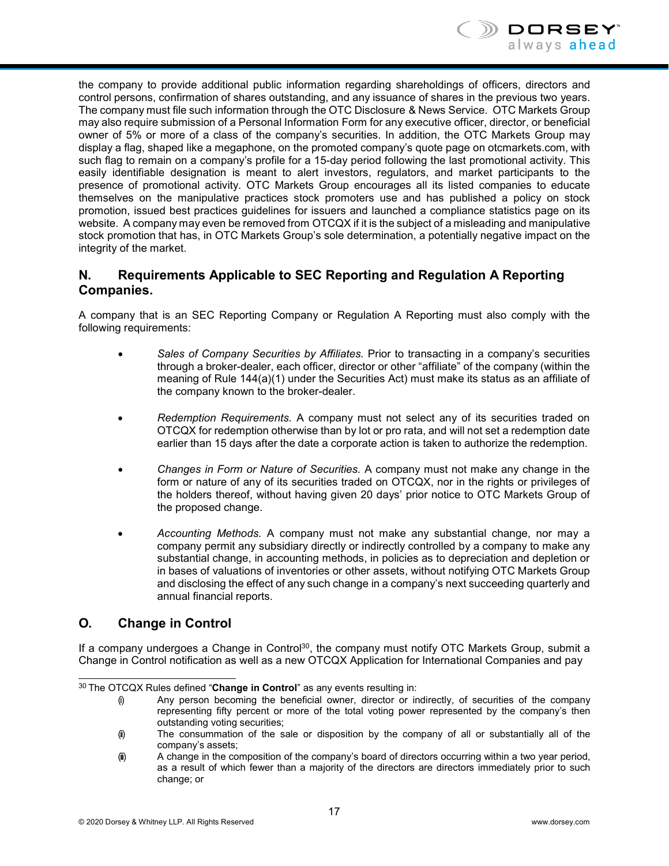

the company to provide additional public information regarding shareholdings of officers, directors and control persons, confirmation of shares outstanding, and any issuance of shares in the previous two years. The company must file such information through the OTC Disclosure & News Service. OTC Markets Group may also require submission of a Personal Information Form for any executive officer, director, or beneficial owner of 5% or more of a class of the company's securities. In addition, the OTC Markets Group may display a flag, shaped like a megaphone, on the promoted company's quote page on otcmarkets.com, with such flag to remain on a company's profile for a 15-day period following the last promotional activity. This easily identifiable designation is meant to alert investors, regulators, and market participants to the presence of promotional activity. OTC Markets Group encourages all its listed companies to educate themselves on the manipulative practices stock promoters use and has published a policy on stock promotion, issued best practices guidelines for issuers and launched a compliance statistics page on its website. A company may even be removed from OTCQX if it is the subject of a misleading and manipulative stock promotion that has, in OTC Markets Group's sole determination, a potentially negative impact on the integrity of the market.

## **N. Requirements Applicable to SEC Reporting and Regulation A Reporting Companies.**

A company that is an SEC Reporting Company or Regulation A Reporting must also comply with the following requirements:

- *Sales of Company Securities by Affiliates.* Prior to transacting in a company's securities through a broker-dealer, each officer, director or other "affiliate" of the company (within the meaning of Rule 144(a)(1) under the Securities Act) must make its status as an affiliate of the company known to the broker-dealer.
- *Redemption Requirements.* A company must not select any of its securities traded on OTCQX for redemption otherwise than by lot or pro rata, and will not set a redemption date earlier than 15 days after the date a corporate action is taken to authorize the redemption.
- *Changes in Form or Nature of Securities.* A company must not make any change in the form or nature of any of its securities traded on OTCQX, nor in the rights or privileges of the holders thereof, without having given 20 days' prior notice to OTC Markets Group of the proposed change.
- *Accounting Methods.* A company must not make any substantial change, nor may a company permit any subsidiary directly or indirectly controlled by a company to make any substantial change, in accounting methods, in policies as to depreciation and depletion or in bases of valuations of inventories or other assets, without notifying OTC Markets Group and disclosing the effect of any such change in a company's next succeeding quarterly and annual financial reports.

# **O. Change in Control**

If a company undergoes a Change in Control<sup>30</sup>, the company must notify OTC Markets Group, submit a Change in Control notification as well as a new OTCQX Application for International Companies and pay

<span id="page-19-0"></span><sup>30</sup> The OTCQX Rules defined "**Change in Control**" as any events resulting in:

<sup>(</sup>i) Any person becoming the beneficial owner, director or indirectly, of securities of the company representing fifty percent or more of the total voting power represented by the company's then outstanding voting securities;

<sup>(</sup>ii) The consummation of the sale or disposition by the company of all or substantially all of the company's assets;

<sup>(</sup>ii) A change in the composition of the company's board of directors occurring within a two year period, as a result of which fewer than a majority of the directors are directors immediately prior to such change; or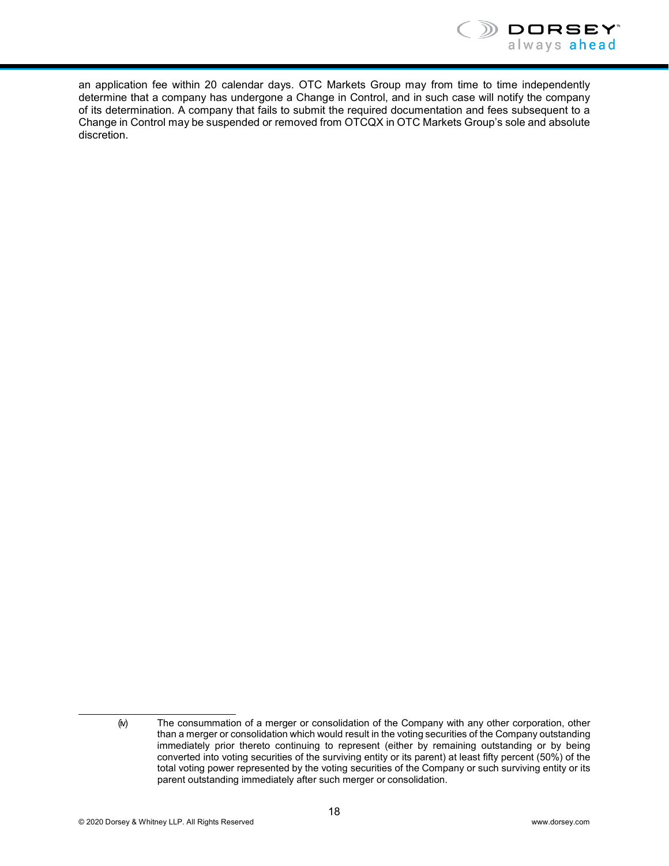

an application fee within 20 calendar days. OTC Markets Group may from time to time independently determine that a company has undergone a Change in Control, and in such case will notify the company of its determination. A company that fails to submit the required documentation and fees subsequent to a Change in Control may be suspended or removed from OTCQX in OTC Markets Group's sole and absolute discretion.

<sup>(</sup>iv) The consummation of a merger or consolidation of the Company with any other corporation, other than a merger or consolidation which would result in the voting securities of the Company outstanding immediately prior thereto continuing to represent (either by remaining outstanding or by being converted into voting securities of the surviving entity or its parent) at least fifty percent (50%) of the total voting power represented by the voting securities of the Company or such surviving entity or its parent outstanding immediately after such merger or consolidation.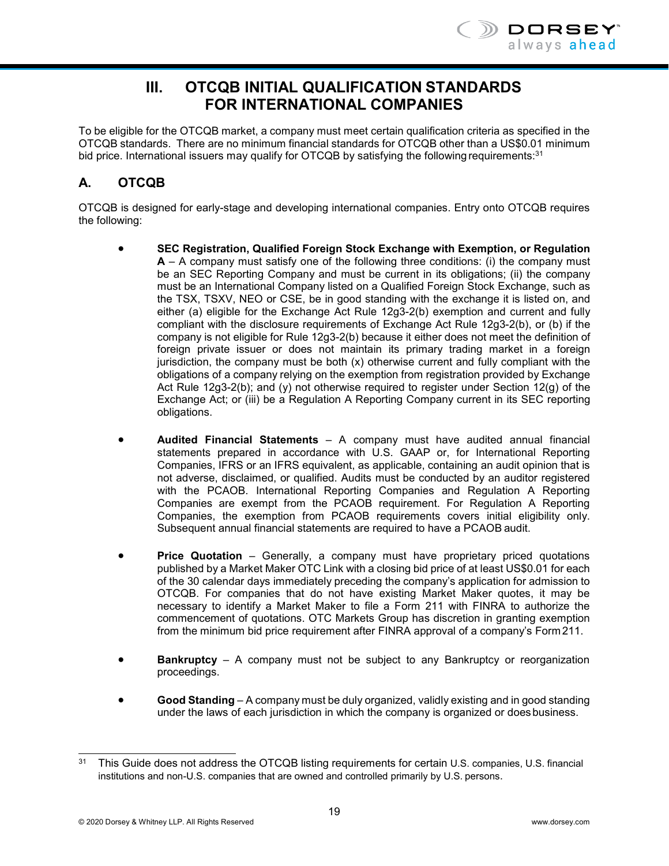

# **III. OTCQB INITIAL QUALIFICATION STANDARDS FOR INTERNATIONAL COMPANIES**

<span id="page-21-0"></span>To be eligible for the OTCQB market, a company must meet certain qualification criteria as specified in the OTCQB standards. There are no minimum financial standards for OTCQB other than a US\$0.01 minimum bid price. International issuers may qualify for OTCQB by satisfying the following requirements:<sup>31</sup>

# **A. OTCQB**

OTCQB is designed for early-stage and developing international companies. Entry onto OTCQB requires the following:

- **SEC Registration, Qualified Foreign Stock Exchange with Exemption, or Regulation A** – A company must satisfy one of the following three conditions: (i) the company must be an SEC Reporting Company and must be current in its obligations; (ii) the company must be an International Company listed on a Qualified Foreign Stock Exchange, such as the TSX, TSXV, NEO or CSE, be in good standing with the exchange it is listed on, and either (a) eligible for the Exchange Act Rule 12g3-2(b) exemption and current and fully compliant with the disclosure requirements of Exchange Act Rule 12g3-2(b), or (b) if the company is not eligible for Rule 12g3-2(b) because it either does not meet the definition of foreign private issuer or does not maintain its primary trading market in a foreign jurisdiction, the company must be both  $(x)$  otherwise current and fully compliant with the obligations of a company relying on the exemption from registration provided by Exchange Act Rule 12g3-2(b); and (y) not otherwise required to register under Section 12(g) of the Exchange Act; or (iii) be a Regulation A Reporting Company current in its SEC reporting obligations.
- **Audited Financial Statements**  A company must have audited annual financial statements prepared in accordance with U.S. GAAP or, for International Reporting Companies, IFRS or an IFRS equivalent, as applicable, containing an audit opinion that is not adverse, disclaimed, or qualified. Audits must be conducted by an auditor registered with the PCAOB. International Reporting Companies and Regulation A Reporting Companies are exempt from the PCAOB requirement. For Regulation A Reporting Companies, the exemption from PCAOB requirements covers initial eligibility only. Subsequent annual financial statements are required to have a PCAOB audit.
- **Price Quotation** Generally, a company must have proprietary priced quotations published by a Market Maker OTC Link with a closing bid price of at least US\$0.01 for each of the 30 calendar days immediately preceding the company's application for admission to OTCQB. For companies that do not have existing Market Maker quotes, it may be necessary to identify a Market Maker to file a Form 211 with FINRA to authorize the commencement of quotations. OTC Markets Group has discretion in granting exemption from the minimum bid price requirement after FINRA approval of a company's Form211.
- **Bankruptcy** A company must not be subject to any Bankruptcy or reorganization proceedings.
- **Good Standing** A company must be duly organized, validly existing and in good standing under the laws of each jurisdiction in which the company is organized or doesbusiness.

<span id="page-21-1"></span><sup>&</sup>lt;sup>31</sup> This Guide does not address the OTCQB listing requirements for certain U.S. companies, U.S. financial institutions and non-U.S. companies that are owned and controlled primarily by U.S. persons.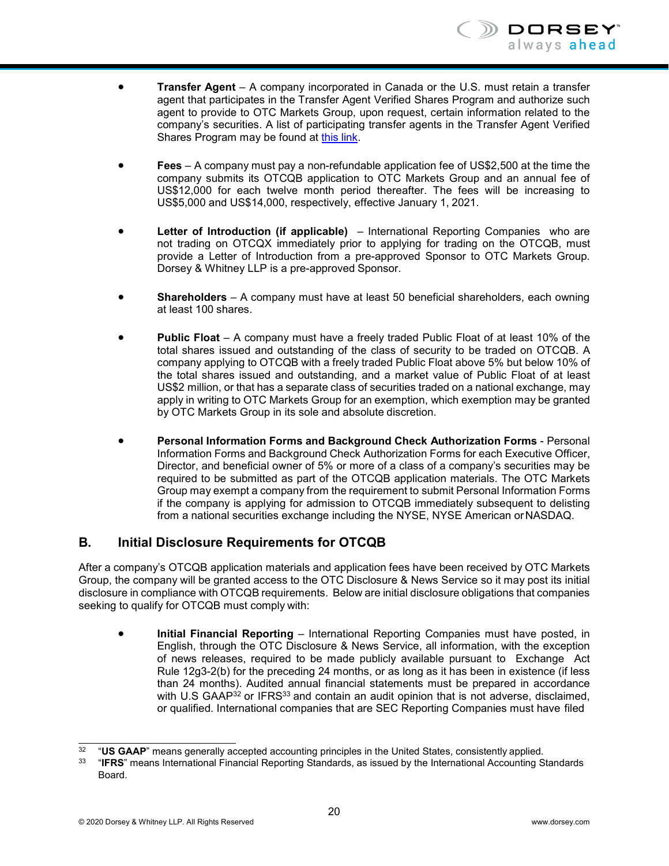

- **Transfer Agent**  A company incorporated in Canada or the U.S. must retain a transfer agent that participates in the Transfer Agent Verified Shares Program and authorize such agent to provide to OTC Markets Group, upon request, certain information related to the company's securities. A list of participating transfer agents in the Transfer Agent Verified Shares Program may be found at this [link.](https://www.otcmarkets.com/corporate-services/transfer-agent-verified-shares-program)
- **Fees** A company must pay a non-refundable application fee of US\$2,500 at the time the company submits its OTCQB application to OTC Markets Group and an annual fee of US\$12,000 for each twelve month period thereafter. The fees will be increasing to US\$5,000 and US\$14,000, respectively, effective January 1, 2021.
- **Letter of Introduction (if applicable)** International Reporting Companies who are not trading on OTCQX immediately prior to applying for trading on the OTCQB, must provide a Letter of Introduction from a pre-approved Sponsor to OTC Markets Group. Dorsey & Whitney LLP is a pre-approved Sponsor.
- **Shareholders**  A company must have at least 50 beneficial shareholders, each owning at least 100 shares.
- **Public Float**  A company must have a freely traded Public Float of at least 10% of the total shares issued and outstanding of the class of security to be traded on OTCQB. A company applying to OTCQB with a freely traded Public Float above 5% but below 10% of the total shares issued and outstanding, and a market value of Public Float of at least US\$2 million, or that has a separate class of securities traded on a national exchange, may apply in writing to OTC Markets Group for an exemption, which exemption may be granted by OTC Markets Group in its sole and absolute discretion.
- **Personal Information Forms and Background Check Authorization Forms** Personal Information Forms and Background Check Authorization Forms for each Executive Officer, Director, and beneficial owner of 5% or more of a class of a company's securities may be required to be submitted as part of the OTCQB application materials. The OTC Markets Group may exempt a company from the requirement to submit Personal Information Forms if the company is applying for admission to OTCQB immediately subsequent to delisting from a national securities exchange including the NYSE, NYSE American orNASDAQ.

#### **B. Initial Disclosure Requirements for OTCQB**

After a company's OTCQB application materials and application fees have been received by OTC Markets Group, the company will be granted access to the OTC Disclosure & News Service so it may post its initial disclosure in compliance with OTCQB requirements. Below are initial disclosure obligations that companies seeking to qualify for OTCQB must comply with:

• **Initial Financial Reporting** – International Reporting Companies must have posted, in English, through the OTC Disclosure & News Service, all information, with the exception of news releases, required to be made publicly available pursuant to Exchange Act Rule 12g3-2(b) for the preceding 24 months, or as long as it has been in existence (if less than 24 months). Audited annual financial statements must be prepared in accordance with U.S GAAP<sup>32</sup> or IFRS<sup>33</sup> and contain an audit opinion that is not adverse, disclaimed, or qualified. International companies that are SEC Reporting Companies must have filed

<span id="page-22-1"></span><span id="page-22-0"></span><sup>&</sup>lt;sup>32</sup> "**US GAAP**" means generally accepted accounting principles in the United States, consistently applied.<br><sup>33</sup> "IEPS" means International Einancial Peporting Standards, as issued by the International Accounting Standards

<sup>33</sup> "**IFRS**" means International Financial Reporting Standards, as issued by the International Accounting Standards Board.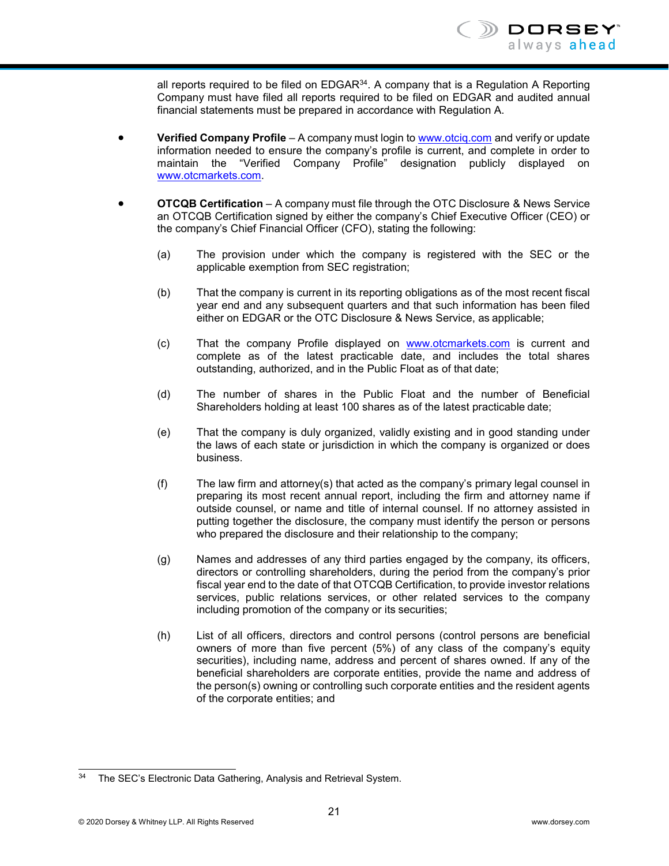all reports required to be filed on  $EDGAR<sup>34</sup>$ . A company that is a Regulation A Reporting Company must have filed all reports required to be filed on EDGAR and audited annual financial statements must be prepared in accordance with Regulation A.

- **Verified Company Profile** A company must login to [www.otciq.com](http://www.otciq.com/) and verify or update information needed to ensure the company's profile is current, and complete in order to maintain the "Verified Company Profile" designation publicly displayed o[n](http://www.otcmarkets.com/) [www.otcmarkets.com.](http://www.otcmarkets.com/)
- **OTCQB Certification** A company must file through the OTC Disclosure & News Service an OTCQB Certification signed by either the company's Chief Executive Officer (CEO) or the company's Chief Financial Officer (CFO), stating the following:
	- (a) The provision under which the company is registered with the SEC or the applicable exemption from SEC registration;
	- (b) That the company is current in its reporting obligations as of the most recent fiscal year end and any subsequent quarters and that such information has been filed either on EDGAR or the OTC Disclosure & News Service, as applicable;
	- (c) That the company Profile displayed on [www.otcmarkets.com](http://www.otcmarkets.com/) is current and complete as of the latest practicable date, and includes the total shares outstanding, authorized, and in the Public Float as of that date;
	- (d) The number of shares in the Public Float and the number of Beneficial Shareholders holding at least 100 shares as of the latest practicable date;
	- (e) That the company is duly organized, validly existing and in good standing under the laws of each state or jurisdiction in which the company is organized or does business.
	- (f) The law firm and attorney(s) that acted as the company's primary legal counsel in preparing its most recent annual report, including the firm and attorney name if outside counsel, or name and title of internal counsel. If no attorney assisted in putting together the disclosure, the company must identify the person or persons who prepared the disclosure and their relationship to the company;
	- (g) Names and addresses of any third parties engaged by the company, its officers, directors or controlling shareholders, during the period from the company's prior fiscal year end to the date of that OTCQB Certification, to provide investor relations services, public relations services, or other related services to the company including promotion of the company or its securities;
	- (h) List of all officers, directors and control persons (control persons are beneficial owners of more than five percent (5%) of any class of the company's equity securities), including name, address and percent of shares owned. If any of the beneficial shareholders are corporate entities, provide the name and address of the person(s) owning or controlling such corporate entities and the resident agents of the corporate entities; and

<span id="page-23-0"></span><sup>&</sup>lt;sup>34</sup> The SEC's Electronic Data Gathering, Analysis and Retrieval System.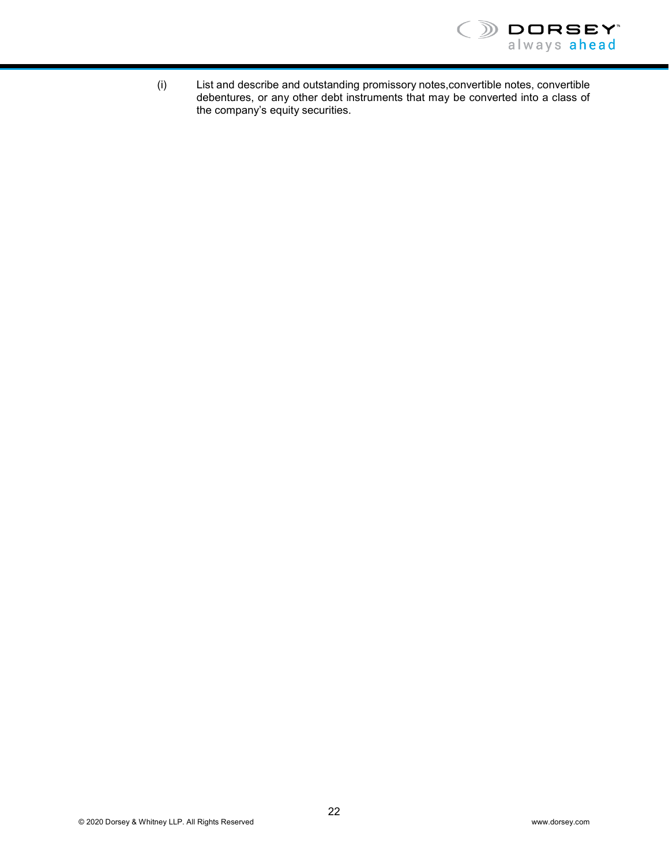

(i) List and describe and outstanding promissory notes,convertible notes, convertible debentures, or any other debt instruments that may be converted into a class of the company's equity securities.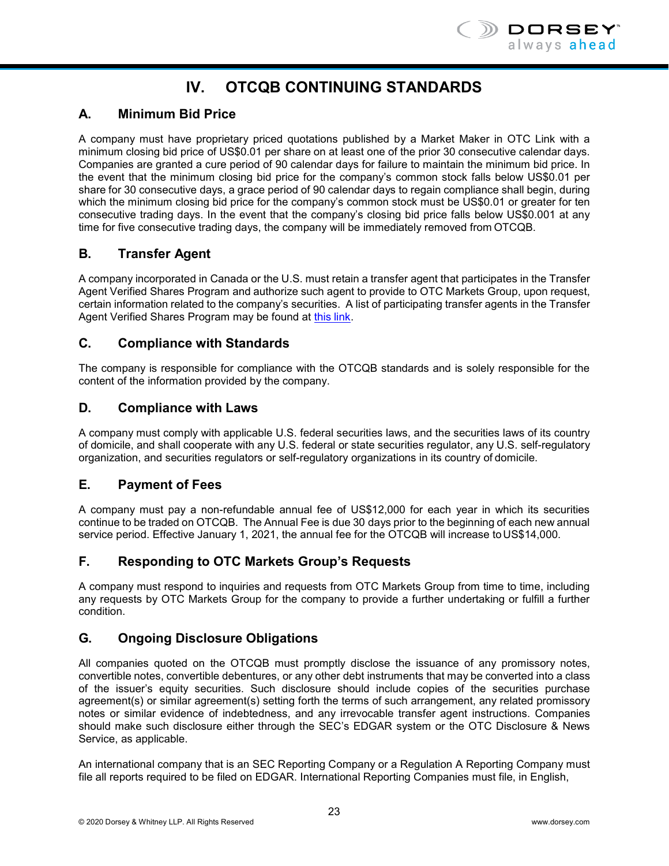

# **IV. OTCQB CONTINUING STANDARDS**

# <span id="page-25-0"></span>**A. Minimum Bid Price**

A company must have proprietary priced quotations published by a Market Maker in OTC Link with a minimum closing bid price of US\$0.01 per share on at least one of the prior 30 consecutive calendar days. Companies are granted a cure period of 90 calendar days for failure to maintain the minimum bid price. In the event that the minimum closing bid price for the company's common stock falls below US\$0.01 per share for 30 consecutive days, a grace period of 90 calendar days to regain compliance shall begin, during which the minimum closing bid price for the company's common stock must be US\$0.01 or greater for ten consecutive trading days. In the event that the company's closing bid price falls below US\$0.001 at any time for five consecutive trading days, the company will be immediately removed from OTCQB.

## **B. Transfer Agent**

A company incorporated in Canada or the U.S. must retain a transfer agent that participates in the Transfer Agent Verified Shares Program and authorize such agent to provide to OTC Markets Group, upon request, certain information related to the company's securities. A list of participating transfer agents in the Transfer Agent Verified Shares Program may be found at [this](https://www.otcmarkets.com/corporate-services/transfer-agent-verified-shares-program) link.

## **C. Compliance with Standards**

The company is responsible for compliance with the OTCQB standards and is solely responsible for the content of the information provided by the company.

#### **D. Compliance with Laws**

A company must comply with applicable U.S. federal securities laws, and the securities laws of its country of domicile, and shall cooperate with any U.S. federal or state securities regulator, any U.S. self-regulatory organization, and securities regulators or self-regulatory organizations in its country of domicile.

# **E. Payment of Fees**

A company must pay a non-refundable annual fee of US\$12,000 for each year in which its securities continue to be traded on OTCQB. The Annual Fee is due 30 days prior to the beginning of each new annual service period. Effective January 1, 2021, the annual fee for the OTCQB will increase to US\$14,000.

# **F. Responding to OTC Markets Group's Requests**

A company must respond to inquiries and requests from OTC Markets Group from time to time, including any requests by OTC Markets Group for the company to provide a further undertaking or fulfill a further condition.

# **G. Ongoing Disclosure Obligations**

All companies quoted on the OTCQB must promptly disclose the issuance of any promissory notes, convertible notes, convertible debentures, or any other debt instruments that may be converted into a class of the issuer's equity securities. Such disclosure should include copies of the securities purchase agreement(s) or similar agreement(s) setting forth the terms of such arrangement, any related promissory notes or similar evidence of indebtedness, and any irrevocable transfer agent instructions. Companies should make such disclosure either through the SEC's EDGAR system or the OTC Disclosure & News Service, as applicable.

An international company that is an SEC Reporting Company or a Regulation A Reporting Company must file all reports required to be filed on EDGAR. International Reporting Companies must file, in English,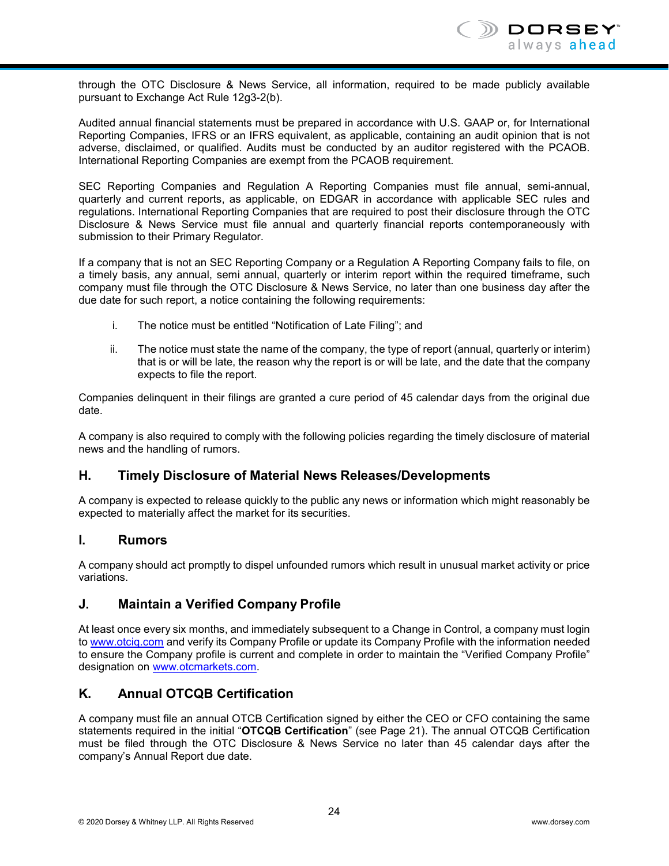through the OTC Disclosure & News Service, all information, required to be made publicly available pursuant to Exchange Act Rule 12g3-2(b).

Audited annual financial statements must be prepared in accordance with U.S. GAAP or, for International Reporting Companies, IFRS or an IFRS equivalent, as applicable, containing an audit opinion that is not adverse, disclaimed, or qualified. Audits must be conducted by an auditor registered with the PCAOB. International Reporting Companies are exempt from the PCAOB requirement.

SEC Reporting Companies and Regulation A Reporting Companies must file annual, semi-annual, quarterly and current reports, as applicable, on EDGAR in accordance with applicable SEC rules and regulations. International Reporting Companies that are required to post their disclosure through the OTC Disclosure & News Service must file annual and quarterly financial reports contemporaneously with submission to their Primary Regulator.

If a company that is not an SEC Reporting Company or a Regulation A Reporting Company fails to file, on a timely basis, any annual, semi annual, quarterly or interim report within the required timeframe, such company must file through the OTC Disclosure & News Service, no later than one business day after the due date for such report, a notice containing the following requirements:

- i. The notice must be entitled "Notification of Late Filing"; and
- ii. The notice must state the name of the company, the type of report (annual, quarterly or interim) that is or will be late, the reason why the report is or will be late, and the date that the company expects to file the report.

Companies delinquent in their filings are granted a cure period of 45 calendar days from the original due date.

A company is also required to comply with the following policies regarding the timely disclosure of material news and the handling of rumors.

# **H. Timely Disclosure of Material News Releases/Developments**

A company is expected to release quickly to the public any news or information which might reasonably be expected to materially affect the market for its securities.

#### **I. Rumors**

A company should act promptly to dispel unfounded rumors which result in unusual market activity or price variations.

#### **J. Maintain a Verified Company Profile**

At least once every six months, and immediately subsequent to a Change in Control, a company must login to [www.otciq.com](http://www.otciq.com/) and verify its Company Profile or update its Company Profile with the information needed to ensure the Company profile is current and complete in order to maintain the "Verified Company Profile" designation on [www.otcmarkets.com.](http://www.otcmarkets.com/)

# **K. Annual OTCQB Certification**

A company must file an annual OTCB Certification signed by either the CEO or CFO containing the same statements required in the initial "**OTCQB Certification**" (see Page 21). The annual OTCQB Certification must be filed through the OTC Disclosure & News Service no later than 45 calendar days after the company's Annual Report due date.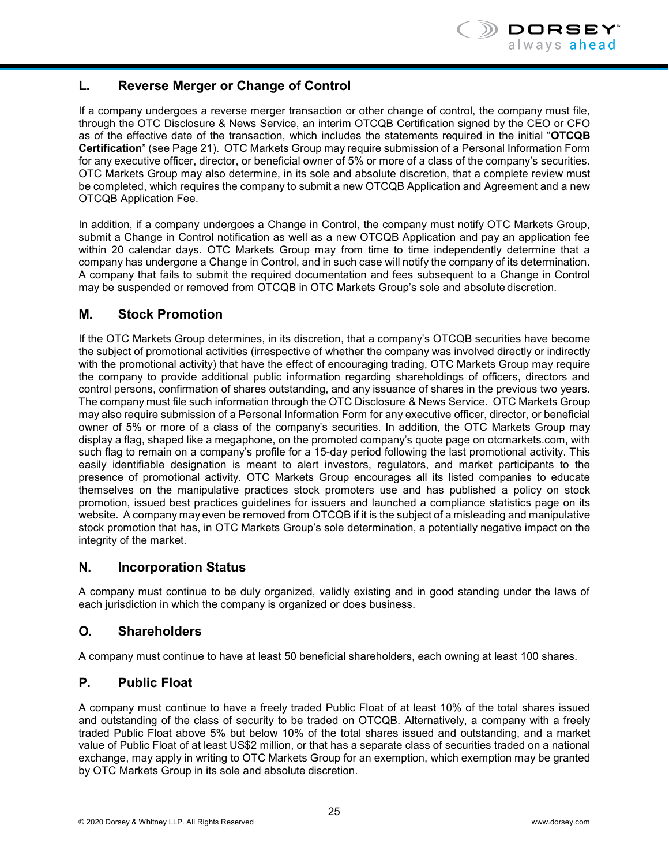# **L. Reverse Merger or Change of Control**

If a company undergoes a reverse merger transaction or other change of control, the company must file, through the OTC Disclosure & News Service, an interim OTCQB Certification signed by the CEO or CFO as of the effective date of the transaction, which includes the statements required in the initial "**OTCQB Certification**" (see Page 21). OTC Markets Group may require submission of a Personal Information Form for any executive officer, director, or beneficial owner of 5% or more of a class of the company's securities. OTC Markets Group may also determine, in its sole and absolute discretion, that a complete review must be completed, which requires the company to submit a new OTCQB Application and Agreement and a new OTCQB Application Fee.

In addition, if a company undergoes a Change in Control, the company must notify OTC Markets Group, submit a Change in Control notification as well as a new OTCQB Application and pay an application fee within 20 calendar days. OTC Markets Group may from time to time independently determine that a company has undergone a Change in Control, and in such case will notify the company of its determination. A company that fails to submit the required documentation and fees subsequent to a Change in Control may be suspended or removed from OTCQB in OTC Markets Group's sole and absolute discretion.

# **M. Stock Promotion**

If the OTC Markets Group determines, in its discretion, that a company's OTCQB securities have become the subject of promotional activities (irrespective of whether the company was involved directly or indirectly with the promotional activity) that have the effect of encouraging trading, OTC Markets Group may require the company to provide additional public information regarding shareholdings of officers, directors and control persons, confirmation of shares outstanding, and any issuance of shares in the previous two years. The company must file such information through the OTC Disclosure & News Service. OTC Markets Group may also require submission of a Personal Information Form for any executive officer, director, or beneficial owner of 5% or more of a class of the company's securities. In addition, the OTC Markets Group may display a flag, shaped like a megaphone, on the promoted company's quote page on otcmarkets.com, with such flag to remain on a company's profile for a 15-day period following the last promotional activity. This easily identifiable designation is meant to alert investors, regulators, and market participants to the presence of promotional activity. OTC Markets Group encourages all its listed companies to educate themselves on the manipulative practices stock promoters use and has published a policy on stock promotion, issued best practices guidelines for issuers and launched a compliance statistics page on its website. A company may even be removed from OTCQB if it is the subject of a misleading and manipulative stock promotion that has, in OTC Markets Group's sole determination, a potentially negative impact on the integrity of the market.

# **N. Incorporation Status**

A company must continue to be duly organized, validly existing and in good standing under the laws of each jurisdiction in which the company is organized or does business.

# **O. Shareholders**

A company must continue to have at least 50 beneficial shareholders, each owning at least 100 shares.

# **P. Public Float**

A company must continue to have a freely traded Public Float of at least 10% of the total shares issued and outstanding of the class of security to be traded on OTCQB. Alternatively, a company with a freely traded Public Float above 5% but below 10% of the total shares issued and outstanding, and a market value of Public Float of at least US\$2 million, or that has a separate class of securities traded on a national exchange, may apply in writing to OTC Markets Group for an exemption, which exemption may be granted by OTC Markets Group in its sole and absolute discretion.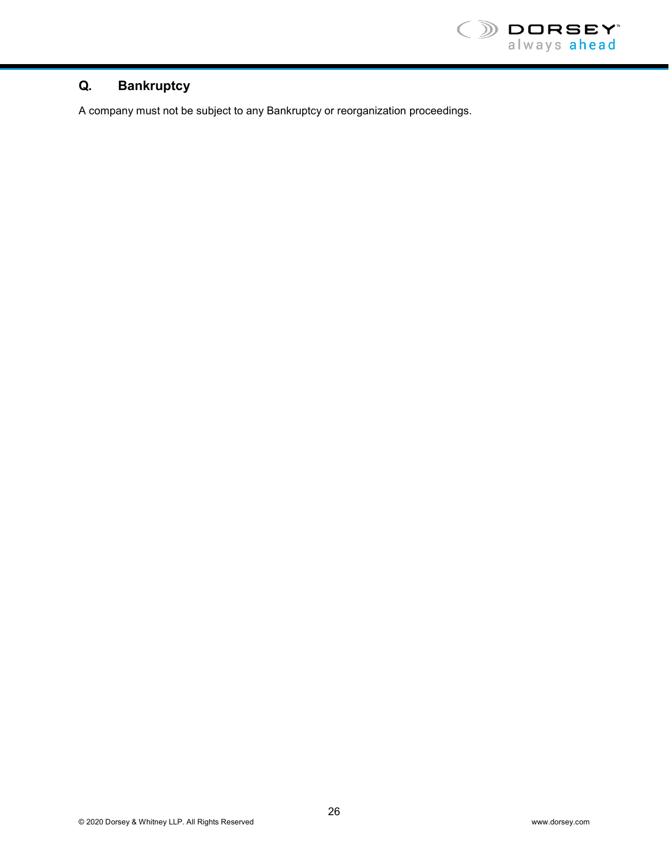

# **Q. Bankruptcy**

A company must not be subject to any Bankruptcy or reorganization proceedings.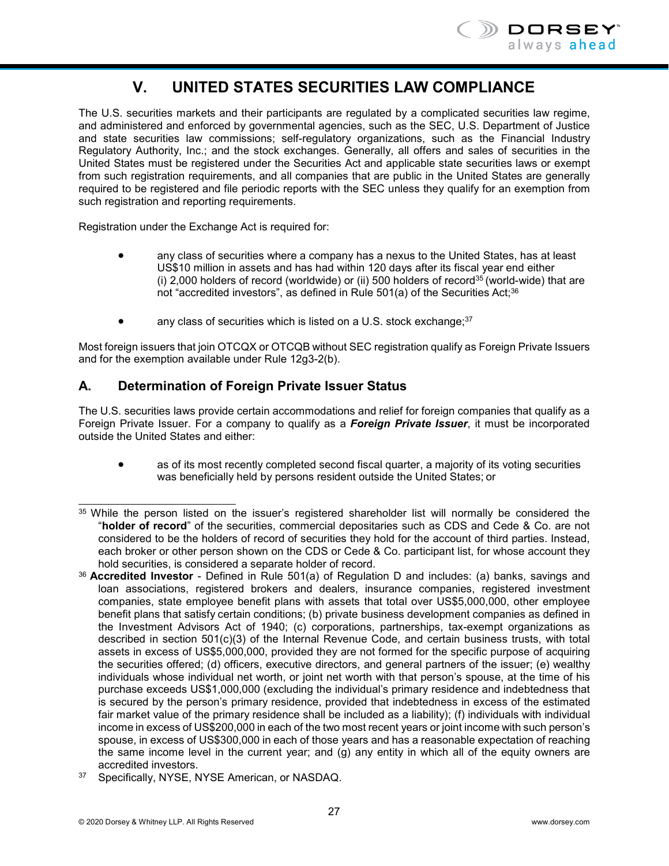

# **V. UNITED STATES SECURITIES LAW COMPLIANCE**

<span id="page-29-0"></span>The U.S. securities markets and their participants are regulated by a complicated securities law regime, and administered and enforced by governmental agencies, such as the SEC, U.S. Department of Justice and state securities law commissions; self-regulatory organizations, such as the Financial Industry Regulatory Authority, Inc.; and the stock exchanges. Generally, all offers and sales of securities in the United States must be registered under the Securities Act and applicable state securities laws or exempt from such registration requirements, and all companies that are public in the United States are generally required to be registered and file periodic reports with the SEC unless they qualify for an exemption from such registration and reporting requirements.

Registration under the Exchange Act is required for:

- any class of securities where a company has a nexus to the United States, has at least US\$10 million in assets and has had within 120 days after its fiscal year end either (i) 2,000 holders of record (worldwide) or (ii) 500 holders of record<sup>35</sup> (world-wide) that are not "accredited investors", as defined in Rule 501(a) of the Securities Act;<sup>36</sup>
- any class of securities which is listed on a U.S. stock exchange; $37$

Most foreign issuers that join OTCQX or OTCQB without SEC registration qualify as Foreign Private Issuers and for the exemption available under Rule 12g3-2(b).

## **A. Determination of Foreign Private Issuer Status**

The U.S. securities laws provide certain accommodations and relief for foreign companies that qualify as a Foreign Private Issuer. For a company to qualify as a *Foreign Private Issuer*, it must be incorporated outside the United States and either:

• as of its most recently completed second fiscal quarter, a majority of its voting securities was beneficially held by persons resident outside the United States; or

<span id="page-29-1"></span><sup>35</sup> While the person listed on the issuer's registered shareholder list will normally be considered the "**holder of record**" of the securities, commercial depositaries such as CDS and Cede & Co. are not considered to be the holders of record of securities they hold for the account of third parties. Instead, each broker or other person shown on the CDS or Cede & Co. participant list, for whose account they hold securities, is considered a separate holder of record.

<span id="page-29-2"></span><sup>36</sup>**Accredited Investor** - Defined in Rule 501(a) of Regulation D and includes: (a) banks, savings and loan associations, registered brokers and dealers, insurance companies, registered investment companies, state employee benefit plans with assets that total over US\$5,000,000, other employee benefit plans that satisfy certain conditions; (b) private business development companies as defined in the Investment Advisors Act of 1940; (c) corporations, partnerships, tax-exempt organizations as described in section 501(c)(3) of the Internal Revenue Code, and certain business trusts, with total assets in excess of US\$5,000,000, provided they are not formed for the specific purpose of acquiring the securities offered; (d) officers, executive directors, and general partners of the issuer; (e) wealthy individuals whose individual net worth, or joint net worth with that person's spouse, at the time of his purchase exceeds US\$1,000,000 (excluding the individual's primary residence and indebtedness that is secured by the person's primary residence, provided that indebtedness in excess of the estimated fair market value of the primary residence shall be included as a liability); (f) individuals with individual income in excess of US\$200,000 in each of the two most recent years or joint income with such person's spouse, in excess of US\$300,000 in each of those years and has a reasonable expectation of reaching the same income level in the current year; and (g) any entity in which all of the equity owners are accredited investors.

<span id="page-29-3"></span><sup>37</sup> Specifically, NYSE, NYSE American, or NASDAQ.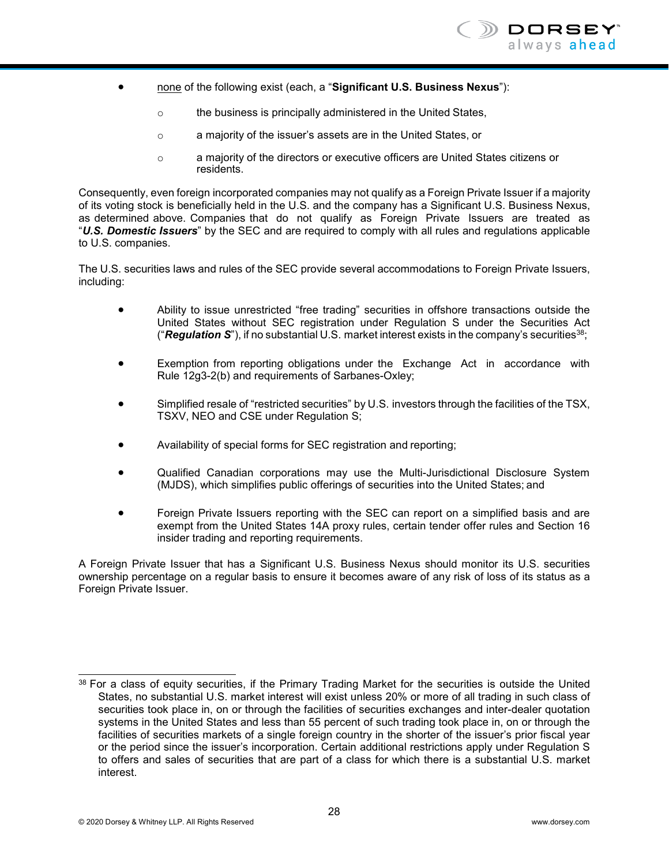

- none of the following exist (each, a "**Significant U.S. Business Nexus**"):
	- o the business is principally administered in the United States,
	- o a majority of the issuer's assets are in the United States, or
	- o a majority of the directors or executive officers are United States citizens or residents.

Consequently, even foreign incorporated companies may not qualify as a Foreign Private Issuer if a majority of its voting stock is beneficially held in the U.S. and the company has a Significant U.S. Business Nexus, as determined above. Companies that do not qualify as Foreign Private Issuers are treated as "*U.S. Domestic Issuers*" by the SEC and are required to comply with all rules and regulations applicable to U.S. companies.

The U.S. securities laws and rules of the SEC provide several accommodations to Foreign Private Issuers, including:

- Ability to issue unrestricted "free trading" securities in offshore transactions outside the United States without SEC registration under Regulation S under the Securities Act ("*Regulation S*"), if no substantial U.S. market interest exists in the company's securitie[s38;](#page-30-0)
- Exemption from reporting obligations under the Exchange Act in accordance with Rule 12g3-2(b) and requirements of Sarbanes-Oxley;
- Simplified resale of "restricted securities" by U.S. investors through the facilities of the TSX, TSXV, NEO and CSE under Regulation S;
- Availability of special forms for SEC registration and reporting;
- Qualified Canadian corporations may use the Multi-Jurisdictional Disclosure System (MJDS), which simplifies public offerings of securities into the United States; and
- Foreign Private Issuers reporting with the SEC can report on a simplified basis and are exempt from the United States 14A proxy rules, certain tender offer rules and Section 16 insider trading and reporting requirements.

A Foreign Private Issuer that has a Significant U.S. Business Nexus should monitor its U.S. securities ownership percentage on a regular basis to ensure it becomes aware of any risk of loss of its status as a Foreign Private Issuer.

<span id="page-30-0"></span><sup>38</sup> For a class of equity securities, if the Primary Trading Market for the securities is outside the United States, no substantial U.S. market interest will exist unless 20% or more of all trading in such class of securities took place in, on or through the facilities of securities exchanges and inter-dealer quotation systems in the United States and less than 55 percent of such trading took place in, on or through the facilities of securities markets of a single foreign country in the shorter of the issuer's prior fiscal year or the period since the issuer's incorporation. Certain additional restrictions apply under Regulation S to offers and sales of securities that are part of a class for which there is a substantial U.S. market interest.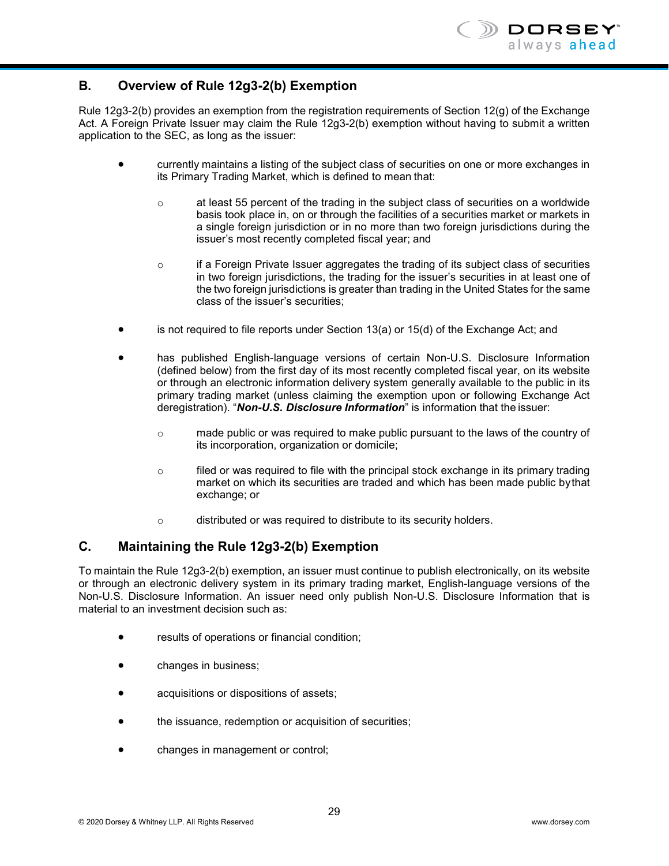# **B. Overview of Rule 12g3-2(b) Exemption**

Rule 12g3-2(b) provides an exemption from the registration requirements of Section 12(g) of the Exchange Act. A Foreign Private Issuer may claim the Rule 12g3-2(b) exemption without having to submit a written application to the SEC, as long as the issuer:

- currently maintains a listing of the subject class of securities on one or more exchanges in its Primary Trading Market, which is defined to mean that:
	- $\circ$  at least 55 percent of the trading in the subject class of securities on a worldwide basis took place in, on or through the facilities of a securities market or markets in a single foreign jurisdiction or in no more than two foreign jurisdictions during the issuer's most recently completed fiscal year; and
	- o if a Foreign Private Issuer aggregates the trading of its subject class of securities in two foreign jurisdictions, the trading for the issuer's securities in at least one of the two foreign jurisdictions is greater than trading in the United States for the same class of the issuer's securities;
- is not required to file reports under Section  $13(a)$  or  $15(d)$  of the Exchange Act; and
- has published English-language versions of certain Non-U.S. Disclosure Information (defined below) from the first day of its most recently completed fiscal year, on its website or through an electronic information delivery system generally available to the public in its primary trading market (unless claiming the exemption upon or following Exchange Act deregistration). "*Non-U.S. Disclosure Information*" is information that the issuer:
	- o made public or was required to make public pursuant to the laws of the country of its incorporation, organization or domicile;
	- $\circ$  filed or was required to file with the principal stock exchange in its primary trading market on which its securities are traded and which has been made public bythat exchange; or
	- o distributed or was required to distribute to its security holders.

# **C. Maintaining the Rule 12g3-2(b) Exemption**

To maintain the Rule 12g3-2(b) exemption, an issuer must continue to publish electronically, on its website or through an electronic delivery system in its primary trading market, English-language versions of the Non-U.S. Disclosure Information. An issuer need only publish Non-U.S. Disclosure Information that is material to an investment decision such as:

- results of operations or financial condition;
- changes in business;
- acquisitions or dispositions of assets;
- the issuance, redemption or acquisition of securities;
- changes in management or control;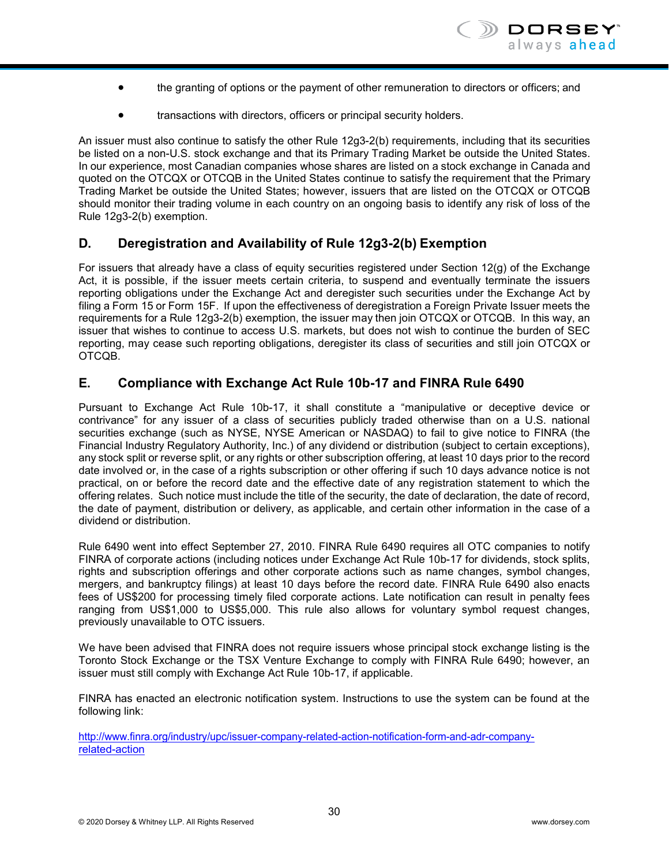- the granting of options or the payment of other remuneration to directors or officers; and
- transactions with directors, officers or principal security holders.

An issuer must also continue to satisfy the other Rule 12g3-2(b) requirements, including that its securities be listed on a non-U.S. stock exchange and that its Primary Trading Market be outside the United States. In our experience, most Canadian companies whose shares are listed on a stock exchange in Canada and quoted on the OTCQX or OTCQB in the United States continue to satisfy the requirement that the Primary Trading Market be outside the United States; however, issuers that are listed on the OTCQX or OTCQB should monitor their trading volume in each country on an ongoing basis to identify any risk of loss of the Rule 12g3-2(b) exemption.

#### **D. Deregistration and Availability of Rule 12g3-2(b) Exemption**

For issuers that already have a class of equity securities registered under Section 12(g) of the Exchange Act, it is possible, if the issuer meets certain criteria, to suspend and eventually terminate the issuers reporting obligations under the Exchange Act and deregister such securities under the Exchange Act by filing a Form 15 or Form 15F. If upon the effectiveness of deregistration a Foreign Private Issuer meets the requirements for a Rule 12g3-2(b) exemption, the issuer may then join OTCQX or OTCQB. In this way, an issuer that wishes to continue to access U.S. markets, but does not wish to continue the burden of SEC reporting, may cease such reporting obligations, deregister its class of securities and still join OTCQX or OTCQB.

#### **E. Compliance with Exchange Act Rule 10b-17 and FINRA Rule 6490**

Pursuant to Exchange Act Rule 10b-17, it shall constitute a "manipulative or deceptive device or contrivance" for any issuer of a class of securities publicly traded otherwise than on a U.S. national securities exchange (such as NYSE, NYSE American or NASDAQ) to fail to give notice to FINRA (the Financial Industry Regulatory Authority, Inc.) of any dividend or distribution (subject to certain exceptions), any stock split or reverse split, or any rights or other subscription offering, at least 10 days prior to the record date involved or, in the case of a rights subscription or other offering if such 10 days advance notice is not practical, on or before the record date and the effective date of any registration statement to which the offering relates. Such notice must include the title of the security, the date of declaration, the date of record, the date of payment, distribution or delivery, as applicable, and certain other information in the case of a dividend or distribution.

Rule 6490 went into effect September 27, 2010. FINRA Rule 6490 requires all OTC companies to notify FINRA of corporate actions (including notices under Exchange Act Rule 10b-17 for dividends, stock splits, rights and subscription offerings and other corporate actions such as name changes, symbol changes, mergers, and bankruptcy filings) at least 10 days before the record date. FINRA Rule 6490 also enacts fees of US\$200 for processing timely filed corporate actions. Late notification can result in penalty fees ranging from US\$1,000 to US\$5,000. This rule also allows for voluntary symbol request changes, previously unavailable to OTC issuers.

We have been advised that FINRA does not require issuers whose principal stock exchange listing is the Toronto Stock Exchange or the TSX Venture Exchange to comply with FINRA Rule 6490; however, an issuer must still comply with Exchange Act Rule 10b-17, if applicable.

FINRA has enacted an electronic notification system. Instructions to use the system can be found at the following link:

[http://www.finra.org/industry/upc/issuer-company-related-action-notification-form-and-adr-company](http://www.finra.org/industry/upc/issuer-company-related-action-notification-form-and-adr-company-related-action)[related-action](http://www.finra.org/industry/upc/issuer-company-related-action-notification-form-and-adr-company-related-action)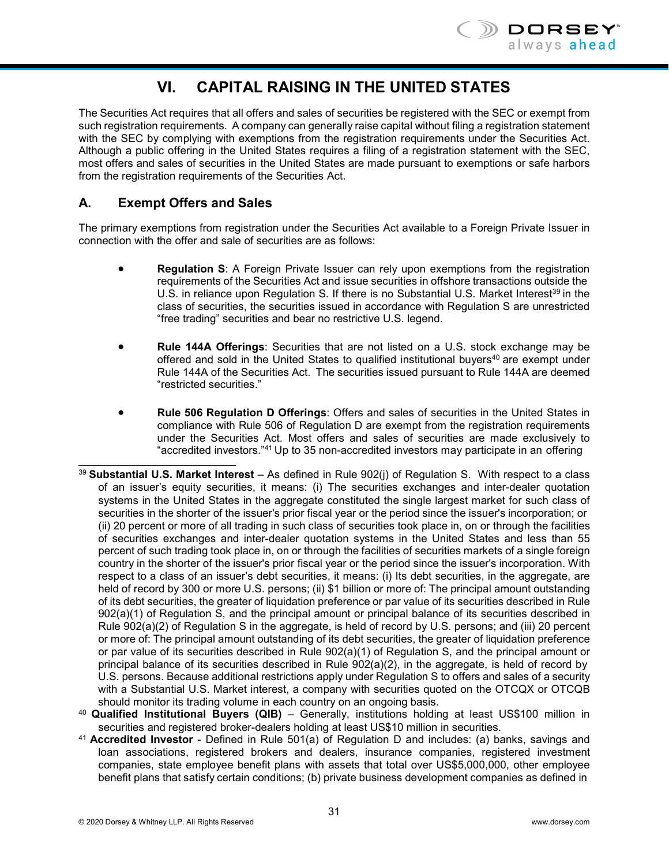

# **VI. CAPITAL RAISING IN THE UNITED STATES**

<span id="page-33-0"></span>The Securities Act requires that all offers and sales of securities be registered with the SEC or exempt from such registration requirements. A company can generally raise capital without filing a registration statement with the SEC by complying with exemptions from the registration requirements under the Securities Act. Although a public offering in the United States requires a filing of a registration statement with the SEC, most offers and sales of securities in the United States are made pursuant to exemptions or safe harbors from the registration requirements of the Securities Act.

# **A. Exempt Offers and Sales**

The primary exemptions from registration under the Securities Act available to a Foreign Private Issuer in connection with the offer and sale of securities are as follows:

- **Regulation S:** A Foreign Private Issuer can rely upon exemptions from the registration requirements of the Securities Act and issue securities in offshore transactions outside the U.S. in reliance upon Regulation S. If there is no Substantial U.S. Market Interest<sup>39</sup> in the class of securities, the securities issued in accordance with Regulation S are unrestricted "free trading" securities and bear no restrictive U.S. legend.
- **Rule 144A Offerings**: Securities that are not listed on a U.S. stock exchange may be offered and sold in the United States to qualified institutional buyers<sup>40</sup> are exempt under Rule 144A of the Securities Act. The securities issued pursuant to Rule 144A are deemed "restricted securities."
- **Rule 506 Regulation D Offerings**: Offers and sales of securities in the United States in compliance with Rule 506 of Regulation D are exempt from the registration requirements under the Securities Act. Most offers and sales of securities are made exclusively to "accredited investors.["41](#page-33-3) Up to 35 non-accredited investors may participate in an offering
- <span id="page-33-1"></span><sup>39</sup>**Substantial U.S. Market Interest** – As defined in Rule 902(j) of Regulation S. With respect to a class of an issuer's equity securities, it means: (i) The securities exchanges and inter-dealer quotation systems in the United States in the aggregate constituted the single largest market for such class of securities in the shorter of the issuer's prior fiscal year or the period since the issuer's incorporation; or (ii) 20 percent or more of all trading in such class of securities took place in, on or through the facilities of securities exchanges and inter-dealer quotation systems in the United States and less than 55 percent of such trading took place in, on or through the facilities of securities markets of a single foreign country in the shorter of the issuer's prior fiscal year or the period since the issuer's incorporation. With respect to a class of an issuer's debt securities, it means: (i) Its debt securities, in the aggregate, are held of record by 300 or more U.S. persons; (ii) \$1 billion or more of: The principal amount outstanding of its debt securities, the greater of liquidation preference or par value of its securities described in Rule 902(a)(1) of Regulation S, and the principal amount or principal balance of its securities described in Rule 902(a)(2) of Regulation S in the aggregate, is held of record by U.S. persons; and (iii) 20 percent or more of: The principal amount outstanding of its debt securities, the greater of liquidation preference or par value of its securities described in Rule 902(a)(1) of Regulation S, and the principal amount or principal balance of its securities described in Rule 902(a)(2), in the aggregate, is held of record by U.S. persons. Because additional restrictions apply under Regulation S to offers and sales of a security with a Substantial U.S. Market interest, a company with securities quoted on the OTCQX or OTCQB should monitor its trading volume in each country on an ongoing basis.
- <span id="page-33-2"></span><sup>40</sup>**Qualified Institutional Buyers (QIB)** – Generally, institutions holding at least US\$100 million in securities and registered broker-dealers holding at least US\$10 million in securities.
- <span id="page-33-3"></span><sup>41</sup>**Accredited Investor** - Defined in Rule 501(a) of Regulation D and includes: (a) banks, savings and loan associations, registered brokers and dealers, insurance companies, registered investment companies, state employee benefit plans with assets that total over US\$5,000,000, other employee benefit plans that satisfy certain conditions; (b) private business development companies as defined in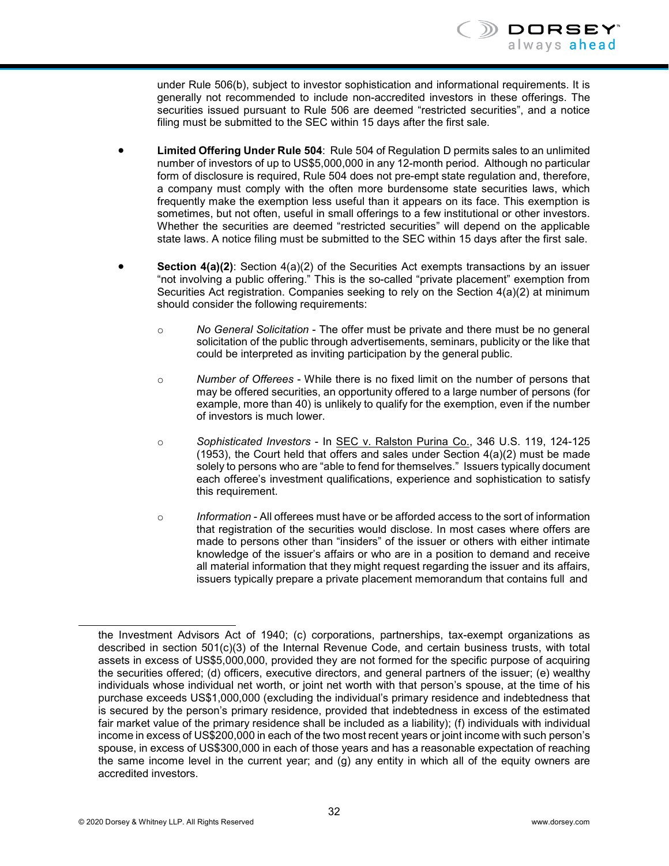under Rule 506(b), subject to investor sophistication and informational requirements. It is generally not recommended to include non-accredited investors in these offerings. The securities issued pursuant to Rule 506 are deemed "restricted securities", and a notice filing must be submitted to the SEC within 15 days after the first sale.

- **Limited Offering Under Rule 504**: Rule 504 of Regulation D permits sales to an unlimited number of investors of up to US\$5,000,000 in any 12-month period. Although no particular form of disclosure is required, Rule 504 does not pre-empt state regulation and, therefore, a company must comply with the often more burdensome state securities laws, which frequently make the exemption less useful than it appears on its face. This exemption is sometimes, but not often, useful in small offerings to a few institutional or other investors. Whether the securities are deemed "restricted securities" will depend on the applicable state laws. A notice filing must be submitted to the SEC within 15 days after the first sale.
- **Section 4(a)(2)**: Section 4(a)(2) of the Securities Act exempts transactions by an issuer "not involving a public offering." This is the so-called "private placement" exemption from Securities Act registration. Companies seeking to rely on the Section 4(a)(2) at minimum should consider the following requirements:
	- o *No General Solicitation*  The offer must be private and there must be no general solicitation of the public through advertisements, seminars, publicity or the like that could be interpreted as inviting participation by the general public.
	- o *Number of Offerees*  While there is no fixed limit on the number of persons that may be offered securities, an opportunity offered to a large number of persons (for example, more than 40) is unlikely to qualify for the exemption, even if the number of investors is much lower.
	- o *Sophisticated Investors*  In SEC v. Ralston Purina Co., 346 U.S. 119, 124-125 (1953), the Court held that offers and sales under Section 4(a)(2) must be made solely to persons who are "able to fend for themselves." Issuers typically document each offeree's investment qualifications, experience and sophistication to satisfy this requirement.
	- o *Information* All offerees must have or be afforded access to the sort of information that registration of the securities would disclose. In most cases where offers are made to persons other than "insiders" of the issuer or others with either intimate knowledge of the issuer's affairs or who are in a position to demand and receive all material information that they might request regarding the issuer and its affairs, issuers typically prepare a private placement memorandum that contains full and

the Investment Advisors Act of 1940; (c) corporations, partnerships, tax-exempt organizations as described in section 501(c)(3) of the Internal Revenue Code, and certain business trusts, with total assets in excess of US\$5,000,000, provided they are not formed for the specific purpose of acquiring the securities offered; (d) officers, executive directors, and general partners of the issuer; (e) wealthy individuals whose individual net worth, or joint net worth with that person's spouse, at the time of his purchase exceeds US\$1,000,000 (excluding the individual's primary residence and indebtedness that is secured by the person's primary residence, provided that indebtedness in excess of the estimated fair market value of the primary residence shall be included as a liability); (f) individuals with individual income in excess of US\$200,000 in each of the two most recent years or joint income with such person's spouse, in excess of US\$300,000 in each of those years and has a reasonable expectation of reaching the same income level in the current year; and (g) any entity in which all of the equity owners are accredited investors.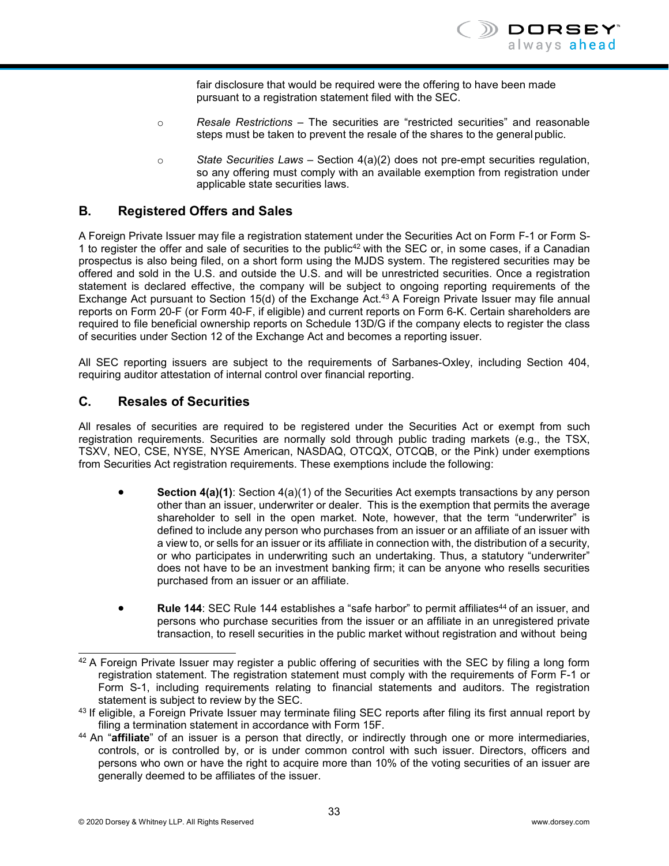fair disclosure that would be required were the offering to have been made pursuant to a registration statement filed with the SEC.

- o *Resale Restrictions*  The securities are "restricted securities" and reasonable steps must be taken to prevent the resale of the shares to the general public.
- o *State Securities Laws*  Section 4(a)(2) does not pre-empt securities regulation, so any offering must comply with an available exemption from registration under applicable state securities laws.

#### **B. Registered Offers and Sales**

A Foreign Private Issuer may file a registration statement under the Securities Act on Form F-1 or Form S-1 to register the offer and sale of securities to the public<sup>42</sup> with the SEC or, in some cases, if a Canadian prospectus is also being filed, on a short form using the MJDS system. The registered securities may be offered and sold in the U.S. and outside the U.S. and will be unrestricted securities. Once a registration statement is declared effective, the company will be subject to ongoing reporting requirements of the Exchange Act pursuant to Section 15(d) of the Exchange Act.<sup>43</sup> A Foreign Private Issuer may file annual reports on Form 20-F (or Form 40-F, if eligible) and current reports on Form 6-K. Certain shareholders are required to file beneficial ownership reports on Schedule 13D/G if the company elects to register the class of securities under Section 12 of the Exchange Act and becomes a reporting issuer.

All SEC reporting issuers are subject to the requirements of Sarbanes-Oxley, including Section 404, requiring auditor attestation of internal control over financial reporting.

#### **C. Resales of Securities**

All resales of securities are required to be registered under the Securities Act or exempt from such registration requirements. Securities are normally sold through public trading markets (e.g., the TSX, TSXV, NEO, CSE, NYSE, NYSE American, NASDAQ, OTCQX, OTCQB, or the Pink) under exemptions from Securities Act registration requirements. These exemptions include the following:

- **Section 4(a)(1)**: Section 4(a)(1) of the Securities Act exempts transactions by any person other than an issuer, underwriter or dealer. This is the exemption that permits the average shareholder to sell in the open market. Note, however, that the term "underwriter" is defined to include any person who purchases from an issuer or an affiliate of an issuer with a view to, or sells for an issuer or its affiliate in connection with, the distribution of a security, or who participates in underwriting such an undertaking. Thus, a statutory "underwriter" does not have to be an investment banking firm; it can be anyone who resells securities purchased from an issuer or an affiliate.
- **Rule 144**: SEC Rule 144 establishes a "safe harbor" to permit affiliates<sup>44</sup> of an issuer, and persons who purchase securities from the issuer or an affiliate in an unregistered private transaction, to resell securities in the public market without registration and without being

<span id="page-35-0"></span><sup>&</sup>lt;sup>42</sup> A Foreign Private Issuer may register a public offering of securities with the SEC by filing a long form registration statement. The registration statement must comply with the requirements of Form F-1 or Form S-1, including requirements relating to financial statements and auditors. The registration statement is subject to review by the SEC.

<span id="page-35-1"></span><sup>43</sup> If eligible, a Foreign Private Issuer may terminate filing SEC reports after filing its first annual report by filing a termination statement in accordance with Form 15F.

<span id="page-35-2"></span><sup>44</sup> An "**affiliate**" of an issuer is a person that directly, or indirectly through one or more intermediaries, controls, or is controlled by, or is under common control with such issuer. Directors, officers and persons who own or have the right to acquire more than 10% of the voting securities of an issuer are generally deemed to be affiliates of the issuer.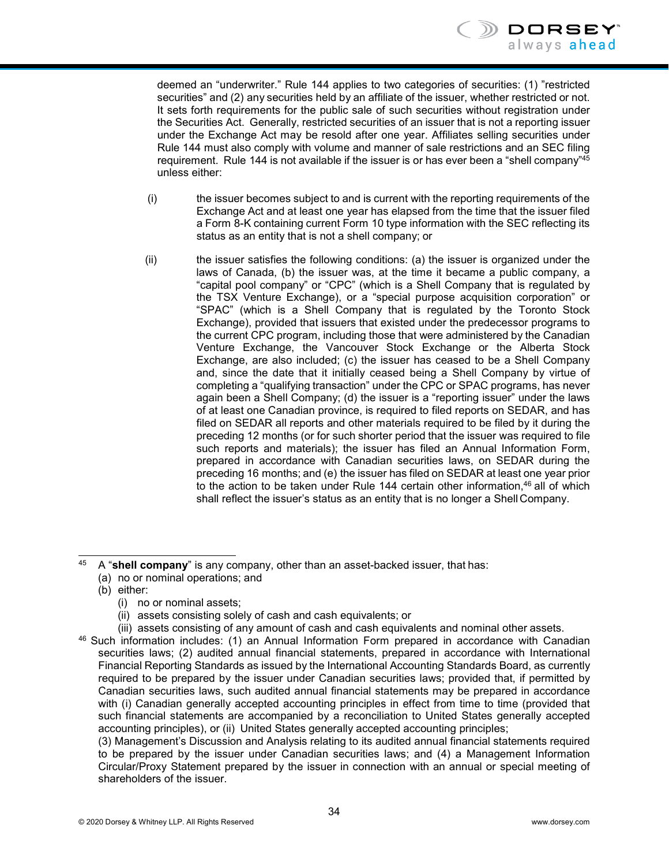deemed an "underwriter." Rule 144 applies to two categories of securities: (1) "restricted securities" and (2) any securities held by an affiliate of the issuer, whether restricted or not. It sets forth requirements for the public sale of such securities without registration under the Securities Act. Generally, restricted securities of an issuer that is not a reporting issuer under the Exchange Act may be resold after one year. Affiliates selling securities under Rule 144 must also comply with volume and manner of sale restrictions and an SEC filing requirement. Rule 144 is not available if the issuer is or has ever been a "shell company"<sup>45</sup> unless either:

- (i) the issuer becomes subject to and is current with the reporting requirements of the Exchange Act and at least one year has elapsed from the time that the issuer filed a Form 8-K containing current Form 10 type information with the SEC reflecting its status as an entity that is not a shell company; or
- (ii) the issuer satisfies the following conditions: (a) the issuer is organized under the laws of Canada, (b) the issuer was, at the time it became a public company, a "capital pool company" or "CPC" (which is a Shell Company that is regulated by the TSX Venture Exchange), or a "special purpose acquisition corporation" or "SPAC" (which is a Shell Company that is regulated by the Toronto Stock Exchange), provided that issuers that existed under the predecessor programs to the current CPC program, including those that were administered by the Canadian Venture Exchange, the Vancouver Stock Exchange or the Alberta Stock Exchange, are also included; (c) the issuer has ceased to be a Shell Company and, since the date that it initially ceased being a Shell Company by virtue of completing a "qualifying transaction" under the CPC or SPAC programs, has never again been a Shell Company; (d) the issuer is a "reporting issuer" under the laws of at least one Canadian province, is required to filed reports on SEDAR, and has filed on SEDAR all reports and other materials required to be filed by it during the preceding 12 months (or for such shorter period that the issuer was required to file such reports and materials); the issuer has filed an Annual Information Form, prepared in accordance with Canadian securities laws, on SEDAR during the preceding 16 months; and (e) the issuer has filed on SEDAR at least one year prior to the action to be taken under Rule 144 certain other information, $46$  all of which shall reflect the issuer's status as an entity that is no longer a Shell Company.

- (a) no or nominal operations; and
- (b) either:
	- (i) no or nominal assets;
	- (ii) assets consisting solely of cash and cash equivalents; or
- (iii) assets consisting of any amount of cash and cash equivalents and nominal other assets.
- <span id="page-36-1"></span>46 Such information includes: (1) an Annual Information Form prepared in accordance with Canadian securities laws; (2) audited annual financial statements, prepared in accordance with International Financial Reporting Standards as issued by the International Accounting Standards Board, as currently required to be prepared by the issuer under Canadian securities laws; provided that, if permitted by Canadian securities laws, such audited annual financial statements may be prepared in accordance with (i) Canadian generally accepted accounting principles in effect from time to time (provided that such financial statements are accompanied by a reconciliation to United States generally accepted accounting principles), or (ii) United States generally accepted accounting principles;

(3) Management's Discussion and Analysis relating to its audited annual financial statements required to be prepared by the issuer under Canadian securities laws; and (4) a Management Information Circular/Proxy Statement prepared by the issuer in connection with an annual or special meeting of shareholders of the issuer.

<span id="page-36-0"></span><sup>45</sup> A "**shell company**" is any company, other than an asset-backed issuer, that has: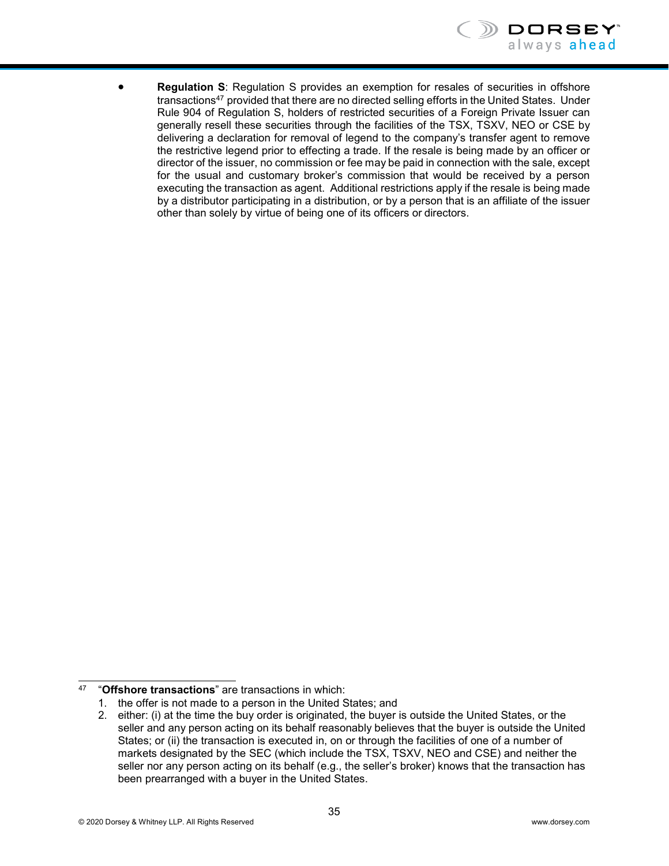

• **Regulation S**: Regulation S provides an exemption for resales of securities in offshore transactions<sup>47</sup> provided that there are no directed selling efforts in the United States. Under Rule 904 of Regulation S, holders of restricted securities of a Foreign Private Issuer can generally resell these securities through the facilities of the TSX, TSXV, NEO or CSE by delivering a declaration for removal of legend to the company's transfer agent to remove the restrictive legend prior to effecting a trade. If the resale is being made by an officer or director of the issuer, no commission or fee may be paid in connection with the sale, except for the usual and customary broker's commission that would be received by a person executing the transaction as agent. Additional restrictions apply if the resale is being made by a distributor participating in a distribution, or by a person that is an affiliate of the issuer other than solely by virtue of being one of its officers or directors.

<span id="page-37-0"></span><sup>47</sup> "**Offshore transactions**" are transactions in which:

<sup>1.</sup> the offer is not made to a person in the United States; and

<sup>2.</sup> either: (i) at the time the buy order is originated, the buyer is outside the United States, or the seller and any person acting on its behalf reasonably believes that the buyer is outside the United States; or (ii) the transaction is executed in, on or through the facilities of one of a number of markets designated by the SEC (which include the TSX, TSXV, NEO and CSE) and neither the seller nor any person acting on its behalf (e.g., the seller's broker) knows that the transaction has been prearranged with a buyer in the United States.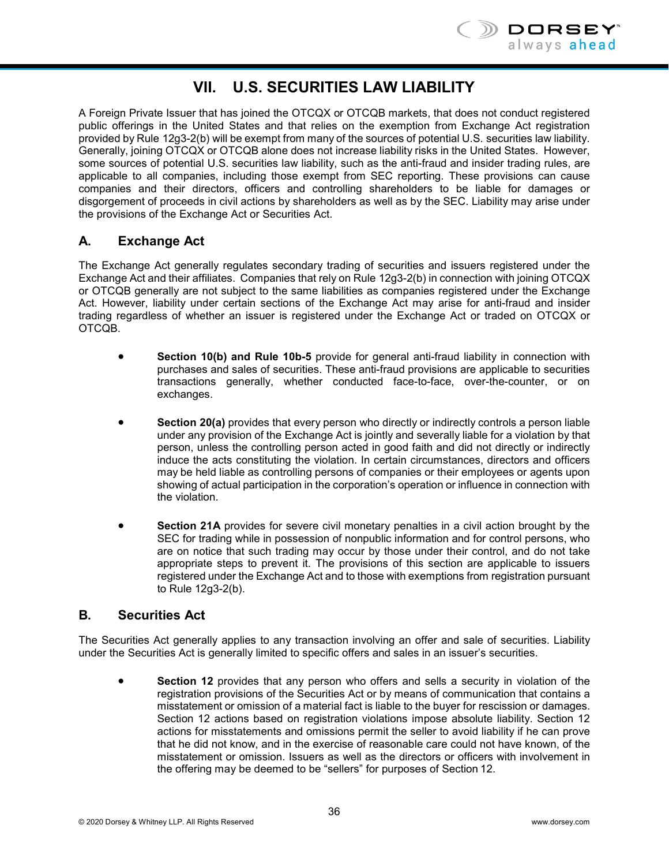

# **VII. U.S. SECURITIES LAW LIABILITY**

<span id="page-38-0"></span>A Foreign Private Issuer that has joined the OTCQX or OTCQB markets, that does not conduct registered public offerings in the United States and that relies on the exemption from Exchange Act registration provided by Rule 12g3-2(b) will be exempt from many of the sources of potential U.S. securities law liability. Generally, joining OTCQX or OTCQB alone does not increase liability risks in the United States. However, some sources of potential U.S. securities law liability, such as the anti-fraud and insider trading rules, are applicable to all companies, including those exempt from SEC reporting. These provisions can cause companies and their directors, officers and controlling shareholders to be liable for damages or disgorgement of proceeds in civil actions by shareholders as well as by the SEC. Liability may arise under the provisions of the Exchange Act or Securities Act.

# **A. Exchange Act**

The Exchange Act generally regulates secondary trading of securities and issuers registered under the Exchange Act and their affiliates. Companies that rely on Rule 12g3-2(b) in connection with joining OTCQX or OTCQB generally are not subject to the same liabilities as companies registered under the Exchange Act. However, liability under certain sections of the Exchange Act may arise for anti-fraud and insider trading regardless of whether an issuer is registered under the Exchange Act or traded on OTCQX or OTCQB.

- **Section 10(b) and Rule 10b-5** provide for general anti-fraud liability in connection with purchases and sales of securities. These anti-fraud provisions are applicable to securities transactions generally, whether conducted face-to-face, over-the-counter, or on exchanges.
- **Section 20(a)** provides that every person who directly or indirectly controls a person liable under any provision of the Exchange Act is jointly and severally liable for a violation by that person, unless the controlling person acted in good faith and did not directly or indirectly induce the acts constituting the violation. In certain circumstances, directors and officers may be held liable as controlling persons of companies or their employees or agents upon showing of actual participation in the corporation's operation or influence in connection with the violation.
- **Section 21A** provides for severe civil monetary penalties in a civil action brought by the SEC for trading while in possession of nonpublic information and for control persons, who are on notice that such trading may occur by those under their control, and do not take appropriate steps to prevent it. The provisions of this section are applicable to issuers registered under the Exchange Act and to those with exemptions from registration pursuant to Rule 12g3-2(b).

#### **B. Securities Act**

The Securities Act generally applies to any transaction involving an offer and sale of securities. Liability under the Securities Act is generally limited to specific offers and sales in an issuer's securities.

• **Section 12** provides that any person who offers and sells a security in violation of the registration provisions of the Securities Act or by means of communication that contains a misstatement or omission of a material fact is liable to the buyer for rescission or damages. Section 12 actions based on registration violations impose absolute liability. Section 12 actions for misstatements and omissions permit the seller to avoid liability if he can prove that he did not know, and in the exercise of reasonable care could not have known, of the misstatement or omission. Issuers as well as the directors or officers with involvement in the offering may be deemed to be "sellers" for purposes of Section 12.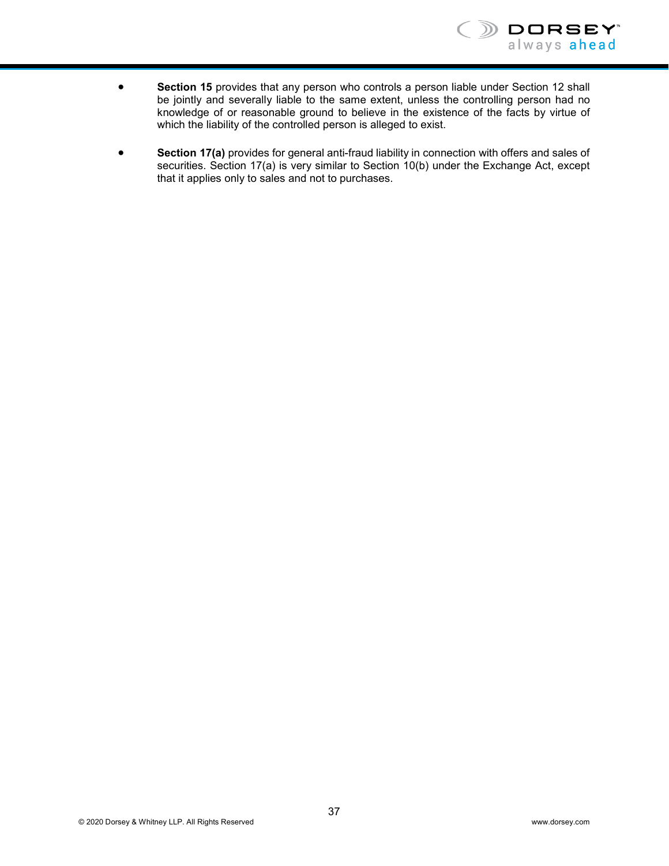

- **Section 15** provides that any person who controls a person liable under Section 12 shall be jointly and severally liable to the same extent, unless the controlling person had no knowledge of or reasonable ground to believe in the existence of the facts by virtue of which the liability of the controlled person is alleged to exist.
- **Section 17(a)** provides for general anti-fraud liability in connection with offers and sales of securities. Section 17(a) is very similar to Section 10(b) under the Exchange Act, except that it applies only to sales and not to purchases.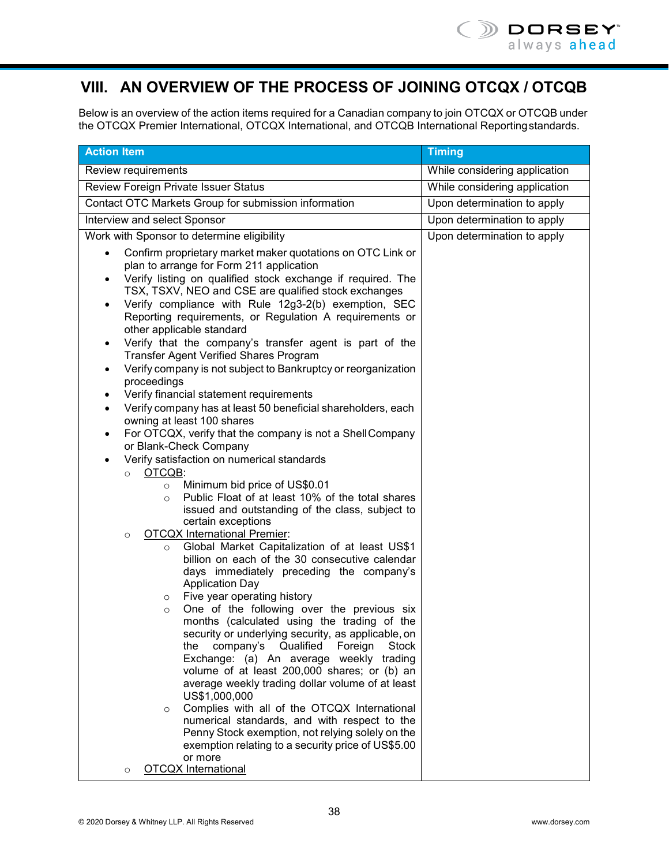# <span id="page-40-0"></span>**VIII. AN OVERVIEW OF THE PROCESS OF JOINING OTCQX / OTCQB**

Below is an overview of the action items required for a Canadian company to join OTCQX or OTCQB under the OTCQX Premier International, OTCQX International, and OTCQB International Reportingstandards.

| <b>Action Item</b>                                                                                                                                                                                                                                                                                                                                                                                                                                                                                                                                                                                                                                                                                                                                                                                                                                                                                                                                                                                                                                                                                                                                                                                                                                                                                                                                                                                                                                                                                                                                                                                                                                                                                                                                                                                                                                                                                                                                                                                                             | <b>Timing</b>                 |
|--------------------------------------------------------------------------------------------------------------------------------------------------------------------------------------------------------------------------------------------------------------------------------------------------------------------------------------------------------------------------------------------------------------------------------------------------------------------------------------------------------------------------------------------------------------------------------------------------------------------------------------------------------------------------------------------------------------------------------------------------------------------------------------------------------------------------------------------------------------------------------------------------------------------------------------------------------------------------------------------------------------------------------------------------------------------------------------------------------------------------------------------------------------------------------------------------------------------------------------------------------------------------------------------------------------------------------------------------------------------------------------------------------------------------------------------------------------------------------------------------------------------------------------------------------------------------------------------------------------------------------------------------------------------------------------------------------------------------------------------------------------------------------------------------------------------------------------------------------------------------------------------------------------------------------------------------------------------------------------------------------------------------------|-------------------------------|
| Review requirements                                                                                                                                                                                                                                                                                                                                                                                                                                                                                                                                                                                                                                                                                                                                                                                                                                                                                                                                                                                                                                                                                                                                                                                                                                                                                                                                                                                                                                                                                                                                                                                                                                                                                                                                                                                                                                                                                                                                                                                                            | While considering application |
| Review Foreign Private Issuer Status                                                                                                                                                                                                                                                                                                                                                                                                                                                                                                                                                                                                                                                                                                                                                                                                                                                                                                                                                                                                                                                                                                                                                                                                                                                                                                                                                                                                                                                                                                                                                                                                                                                                                                                                                                                                                                                                                                                                                                                           | While considering application |
| Contact OTC Markets Group for submission information                                                                                                                                                                                                                                                                                                                                                                                                                                                                                                                                                                                                                                                                                                                                                                                                                                                                                                                                                                                                                                                                                                                                                                                                                                                                                                                                                                                                                                                                                                                                                                                                                                                                                                                                                                                                                                                                                                                                                                           | Upon determination to apply   |
| Interview and select Sponsor                                                                                                                                                                                                                                                                                                                                                                                                                                                                                                                                                                                                                                                                                                                                                                                                                                                                                                                                                                                                                                                                                                                                                                                                                                                                                                                                                                                                                                                                                                                                                                                                                                                                                                                                                                                                                                                                                                                                                                                                   | Upon determination to apply   |
| Work with Sponsor to determine eligibility                                                                                                                                                                                                                                                                                                                                                                                                                                                                                                                                                                                                                                                                                                                                                                                                                                                                                                                                                                                                                                                                                                                                                                                                                                                                                                                                                                                                                                                                                                                                                                                                                                                                                                                                                                                                                                                                                                                                                                                     | Upon determination to apply   |
| Confirm proprietary market maker quotations on OTC Link or<br>plan to arrange for Form 211 application<br>Verify listing on qualified stock exchange if required. The<br>TSX, TSXV, NEO and CSE are qualified stock exchanges<br>Verify compliance with Rule 12g3-2(b) exemption, SEC<br>٠<br>Reporting requirements, or Regulation A requirements or<br>other applicable standard<br>Verify that the company's transfer agent is part of the<br>٠<br>Transfer Agent Verified Shares Program<br>Verify company is not subject to Bankruptcy or reorganization<br>$\bullet$<br>proceedings<br>Verify financial statement requirements<br>٠<br>Verify company has at least 50 beneficial shareholders, each<br>$\bullet$<br>owning at least 100 shares<br>For OTCQX, verify that the company is not a Shell Company<br>$\bullet$<br>or Blank-Check Company<br>Verify satisfaction on numerical standards<br>$\bullet$<br>OTCQB:<br>$\circ$<br>Minimum bid price of US\$0.01<br>$\circ$<br>Public Float of at least 10% of the total shares<br>$\Omega$<br>issued and outstanding of the class, subject to<br>certain exceptions<br><b>OTCQX International Premier:</b><br>$\circ$<br>Global Market Capitalization of at least US\$1<br>$\circ$<br>billion on each of the 30 consecutive calendar<br>days immediately preceding the company's<br><b>Application Day</b><br>Five year operating history<br>$\circ$<br>One of the following over the previous six<br>$\circ$<br>months (calculated using the trading of the<br>security or underlying security, as applicable, on<br>company's Qualified<br>Foreign<br>Stock<br>the<br>Exchange: (a) An average weekly trading<br>volume of at least 200,000 shares; or (b) an<br>average weekly trading dollar volume of at least<br>US\$1,000,000<br>Complies with all of the OTCQX International<br>$\circ$<br>numerical standards, and with respect to the<br>Penny Stock exemption, not relying solely on the<br>exemption relating to a security price of US\$5.00<br>or more |                               |
| <b>OTCQX</b> International<br>$\circ$                                                                                                                                                                                                                                                                                                                                                                                                                                                                                                                                                                                                                                                                                                                                                                                                                                                                                                                                                                                                                                                                                                                                                                                                                                                                                                                                                                                                                                                                                                                                                                                                                                                                                                                                                                                                                                                                                                                                                                                          |                               |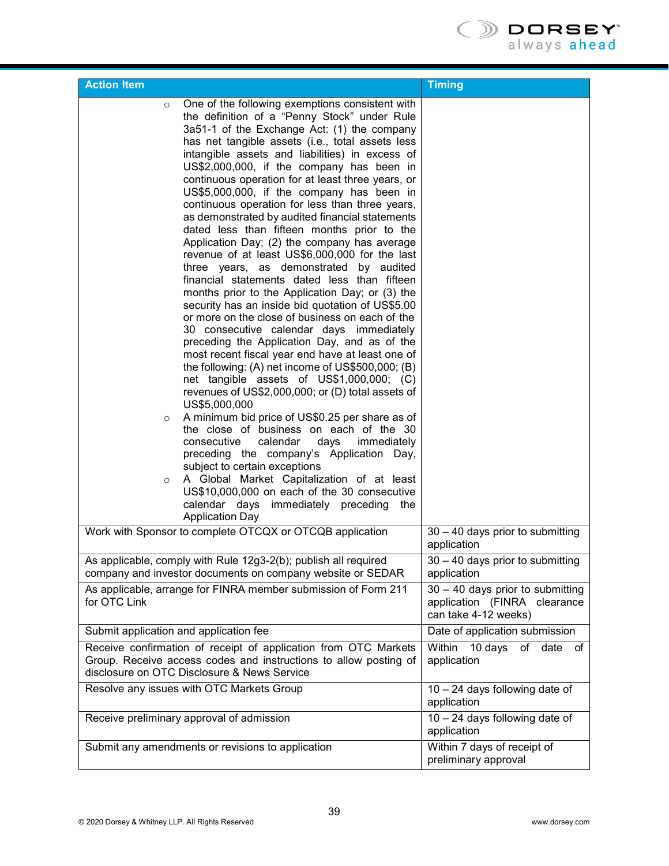

| <b>Action Item</b>                                                                                                                                                                                                                                                                                                                                                                                                                                                                                                                                                                                                                                                                                                                                                                                                                                                                                                                                                                                                                                                                                                                                                                                                                                                                                                                                                                                                                                                                                                                                                                                                                                                           | <b>Timing</b>                                                                              |
|------------------------------------------------------------------------------------------------------------------------------------------------------------------------------------------------------------------------------------------------------------------------------------------------------------------------------------------------------------------------------------------------------------------------------------------------------------------------------------------------------------------------------------------------------------------------------------------------------------------------------------------------------------------------------------------------------------------------------------------------------------------------------------------------------------------------------------------------------------------------------------------------------------------------------------------------------------------------------------------------------------------------------------------------------------------------------------------------------------------------------------------------------------------------------------------------------------------------------------------------------------------------------------------------------------------------------------------------------------------------------------------------------------------------------------------------------------------------------------------------------------------------------------------------------------------------------------------------------------------------------------------------------------------------------|--------------------------------------------------------------------------------------------|
| One of the following exemptions consistent with<br>$\circ$<br>the definition of a "Penny Stock" under Rule<br>3a51-1 of the Exchange Act: (1) the company<br>has net tangible assets (i.e., total assets less<br>intangible assets and liabilities) in excess of<br>US\$2,000,000, if the company has been in<br>continuous operation for at least three years, or<br>US\$5,000,000, if the company has been in<br>continuous operation for less than three years,<br>as demonstrated by audited financial statements<br>dated less than fifteen months prior to the<br>Application Day; (2) the company has average<br>revenue of at least US\$6,000,000 for the last<br>three years, as demonstrated by audited<br>financial statements dated less than fifteen<br>months prior to the Application Day; or (3) the<br>security has an inside bid quotation of US\$5.00<br>or more on the close of business on each of the<br>30 consecutive calendar days immediately<br>preceding the Application Day, and as of the<br>most recent fiscal year end have at least one of<br>the following: (A) net income of US\$500,000; (B)<br>net tangible assets of US\$1,000,000; (C)<br>revenues of US\$2,000,000; or (D) total assets of<br>US\$5,000,000<br>A minimum bid price of US\$0.25 per share as of<br>$\circ$<br>the close of business on each of the 30<br>calendar<br>days<br>consecutive<br>immediately<br>preceding the company's Application Day,<br>subject to certain exceptions<br>A Global Market Capitalization of at least<br>$\circ$<br>US\$10,000,000 on each of the 30 consecutive<br>calendar days immediately preceding<br>the<br><b>Application Day</b> |                                                                                            |
| Work with Sponsor to complete OTCQX or OTCQB application                                                                                                                                                                                                                                                                                                                                                                                                                                                                                                                                                                                                                                                                                                                                                                                                                                                                                                                                                                                                                                                                                                                                                                                                                                                                                                                                                                                                                                                                                                                                                                                                                     | 30 - 40 days prior to submitting<br>application                                            |
| As applicable, comply with Rule 12g3-2(b); publish all required<br>company and investor documents on company website or SEDAR                                                                                                                                                                                                                                                                                                                                                                                                                                                                                                                                                                                                                                                                                                                                                                                                                                                                                                                                                                                                                                                                                                                                                                                                                                                                                                                                                                                                                                                                                                                                                | 30 - 40 days prior to submitting<br>application                                            |
| As applicable, arrange for FINRA member submission of Form 211<br>for OTC Link                                                                                                                                                                                                                                                                                                                                                                                                                                                                                                                                                                                                                                                                                                                                                                                                                                                                                                                                                                                                                                                                                                                                                                                                                                                                                                                                                                                                                                                                                                                                                                                               | $30 - 40$ days prior to submitting<br>application (FINRA clearance<br>can take 4-12 weeks) |
| Submit application and application fee                                                                                                                                                                                                                                                                                                                                                                                                                                                                                                                                                                                                                                                                                                                                                                                                                                                                                                                                                                                                                                                                                                                                                                                                                                                                                                                                                                                                                                                                                                                                                                                                                                       | Date of application submission                                                             |
| Receive confirmation of receipt of application from OTC Markets<br>Group. Receive access codes and instructions to allow posting of<br>disclosure on OTC Disclosure & News Service                                                                                                                                                                                                                                                                                                                                                                                                                                                                                                                                                                                                                                                                                                                                                                                                                                                                                                                                                                                                                                                                                                                                                                                                                                                                                                                                                                                                                                                                                           | 10 days<br>Within<br>of date<br>of<br>application                                          |
| Resolve any issues with OTC Markets Group                                                                                                                                                                                                                                                                                                                                                                                                                                                                                                                                                                                                                                                                                                                                                                                                                                                                                                                                                                                                                                                                                                                                                                                                                                                                                                                                                                                                                                                                                                                                                                                                                                    | $10 - 24$ days following date of<br>application                                            |
| Receive preliminary approval of admission                                                                                                                                                                                                                                                                                                                                                                                                                                                                                                                                                                                                                                                                                                                                                                                                                                                                                                                                                                                                                                                                                                                                                                                                                                                                                                                                                                                                                                                                                                                                                                                                                                    | $10 - 24$ days following date of<br>application                                            |
| Submit any amendments or revisions to application                                                                                                                                                                                                                                                                                                                                                                                                                                                                                                                                                                                                                                                                                                                                                                                                                                                                                                                                                                                                                                                                                                                                                                                                                                                                                                                                                                                                                                                                                                                                                                                                                            | Within 7 days of receipt of<br>preliminary approval                                        |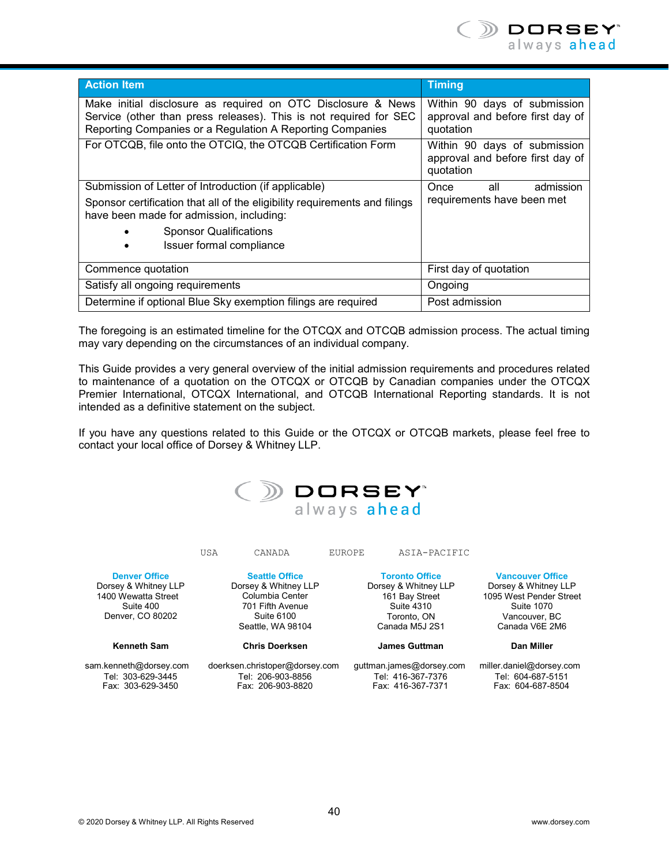

| <b>Action Item</b>                                                                                                                                                                             | <b>Timing</b>                                                                 |
|------------------------------------------------------------------------------------------------------------------------------------------------------------------------------------------------|-------------------------------------------------------------------------------|
| Make initial disclosure as required on OTC Disclosure & News<br>Service (other than press releases). This is not required for SEC<br>Reporting Companies or a Regulation A Reporting Companies | Within 90 days of submission<br>approval and before first day of<br>quotation |
| For OTCQB, file onto the OTCIQ, the OTCQB Certification Form                                                                                                                                   | Within 90 days of submission<br>approval and before first day of<br>quotation |
| Submission of Letter of Introduction (if applicable)                                                                                                                                           | Once<br>admission<br>all<br>requirements have been met                        |
| Sponsor certification that all of the eligibility requirements and filings<br>have been made for admission, including:                                                                         |                                                                               |
| <b>Sponsor Qualifications</b>                                                                                                                                                                  |                                                                               |
| Issuer formal compliance                                                                                                                                                                       |                                                                               |
| Commence quotation                                                                                                                                                                             | First day of quotation                                                        |
| Satisfy all ongoing requirements                                                                                                                                                               | Ongoing                                                                       |
| Determine if optional Blue Sky exemption filings are required                                                                                                                                  | Post admission                                                                |

The foregoing is an estimated timeline for the OTCQX and OTCQB admission process. The actual timing may vary depending on the circumstances of an individual company.

This Guide provides a very general overview of the initial admission requirements and procedures related to maintenance of a quotation on the OTCQX or OTCQB by Canadian companies under the OTCQX Premier International, OTCQX International, and OTCQB International Reporting standards. It is not intended as a definitive statement on the subject.

If you have any questions related to this Guide or the OTCQX or OTCQB markets, please feel free to contact your local office of Dorsey & Whitney LLP.

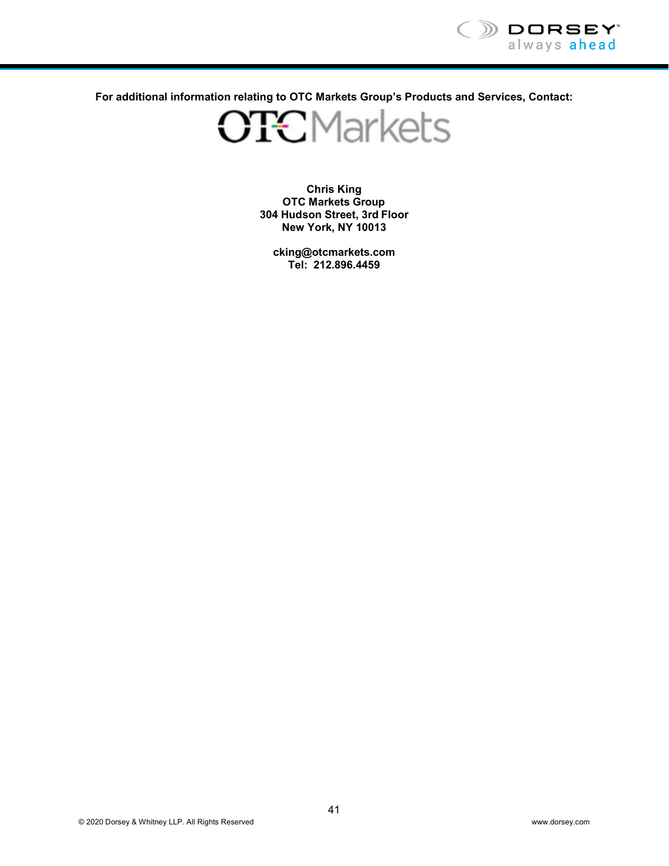

**For additional information relating to OTC Markets Group's Products and Services, Contact:**

**OTCMarkets** 

**Chris King OTC Markets Group 304 Hudson Street, 3rd Floor New York, NY 10013**

**[cking@otcmarkets.com](mailto:cking@otcmarkets.com) Tel: 212.896.4459**